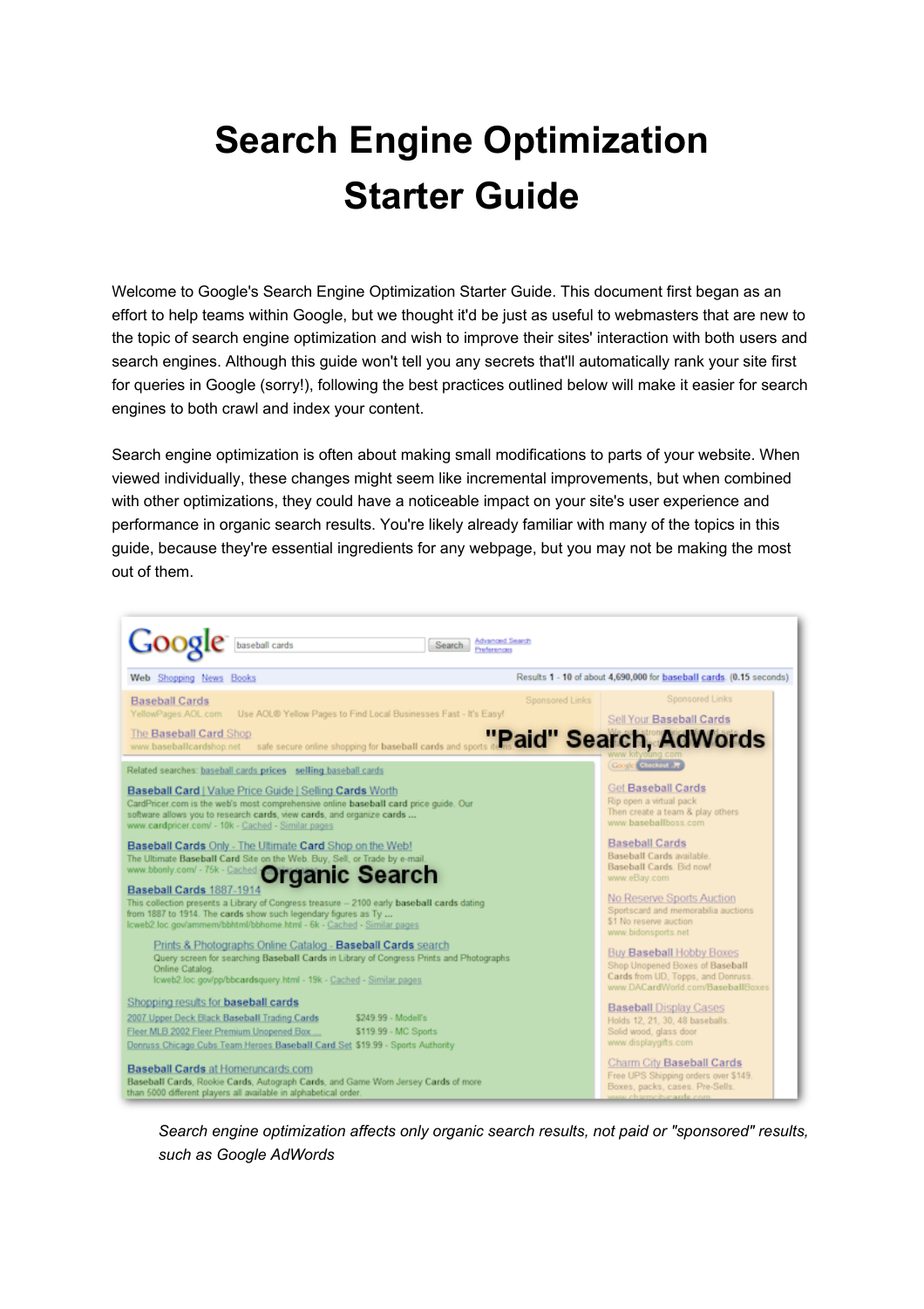# **Search Engine Optimization Starter Guide**

Welcome to Google's Search Engine Optimization Starter Guide. This document first began as an effort to help teams within Google, but we thought it'd be just as useful to webmasters that are new to the topic of search engine optimization and wish to improve their sites' interaction with both users and search engines. Although this guide won't tell you any secrets that'll automatically rank your site first for queries in Google (sorry!), following the best practices outlined below will make it easier for search engines to both crawl and index your content.

Search engine optimization is often about making small modifications to parts of your website. When viewed individually, these changes might seem like incremental improvements, but when combined with other optimizations, they could have a noticeable impact on your site's user experience and performance in organic search results. You're likely already familiar with many of the topics in this guide, because they're essential ingredients for any webpage, but you may not be making the most out of them.



*Search engine optimization affects only organic search results, not paid or "sponsored" results, such as Google AdWords*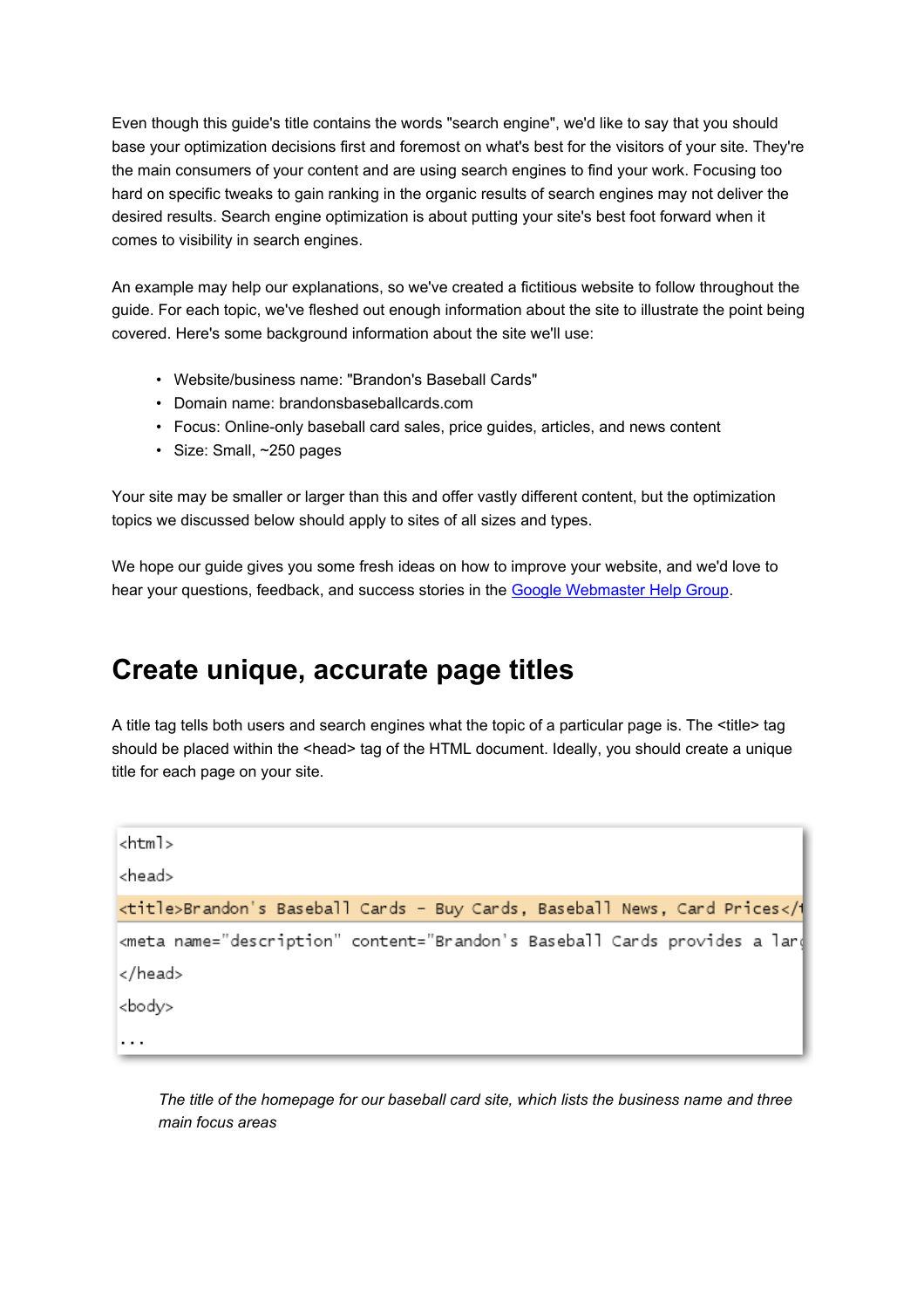Even though this guide's title contains the words "search engine", we'd like to say that you should base your optimization decisions first and foremost on what's best for the visitors of your site. They're the main consumers of your content and are using search engines to find your work. Focusing too hard on specific tweaks to gain ranking in the organic results of search engines may not deliver the desired results. Search engine optimization is about putting your site's best foot forward when it comes to visibility in search engines.

An example may help our explanations, so we've created a fictitious website to follow throughout the guide. For each topic, we've fleshed out enough information about the site to illustrate the point being covered. Here's some background information about the site we'll use:

- Website/business name: "Brandon's Baseball Cards"
- Domain name: brandonsbaseballcards.com
- Focus: Online-only baseball card sales, price guides, articles, and news content
- Size: Small, ~250 pages

Your site may be smaller or larger than this and offer vastly different content, but the optimization topics we discussed below should apply to sites of all sizes and types.

We hope our guide gives you some fresh ideas on how to improve your website, and we'd love to hear your questions, feedback, and success stories in the [Google Webmaster Help Group](http://groups.google.com/group/Google_Webmaster_Help/).

### **Create unique, accurate page titles**

A title tag tells both users and search engines what the topic of a particular page is. The <title> tag should be placed within the <head> tag of the HTML document. Ideally, you should create a unique title for each page on your site.

| <html></html>                                                                               |
|---------------------------------------------------------------------------------------------|
| <head></head>                                                                               |
| <title>Brandon's Baseball Cards - Buy Cards, Baseball News, Card Prices<!--1</td--></title> |
| <meta name="description" content="Brandon's Baseball Cards provides a lard</td>             |
| $\langle$ /head>                                                                            |
| <body></body>                                                                               |
|                                                                                             |

*The title of the homepage for our baseball card site, which lists the business name and three main focus areas*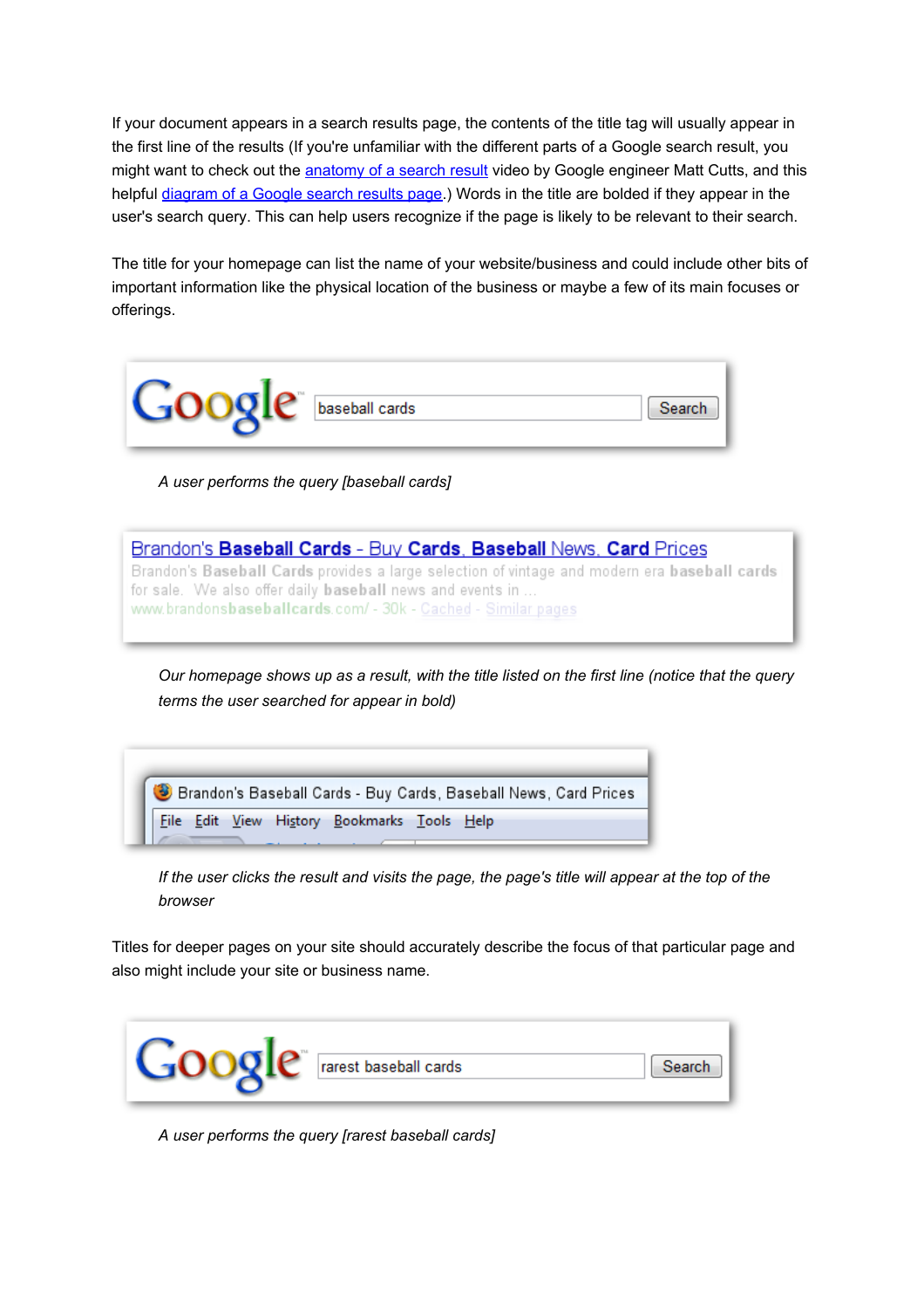If your document appears in a search results page, the contents of the title tag will usually appear in the first line of the results (If you're unfamiliar with the different parts of a Google search result, you might want to check out the [anatomy of a search result](http://googlewebmastercentral.blogspot.com/2007/11/anatomy-of-search-result.html) video by Google engineer Matt Cutts, and this helpful [diagram of a Google search results page.](http://www.google.com/support/bin/static.py?page=searchguides.html&ctx=results)) Words in the title are bolded if they appear in the user's search query. This can help users recognize if the page is likely to be relevant to their search.

The title for your homepage can list the name of your website/business and could include other bits of important information like the physical location of the business or maybe a few of its main focuses or offerings.



*A user performs the query [baseball cards]*



*Our homepage shows up as a result, with the title listed on the first line (notice that the query terms the user searched for appear in bold)*



*If the user clicks the result and visits the page, the page's title will appear at the top of the browser*

Titles for deeper pages on your site should accurately describe the focus of that particular page and also might include your site or business name.



*A user performs the query [rarest baseball cards]*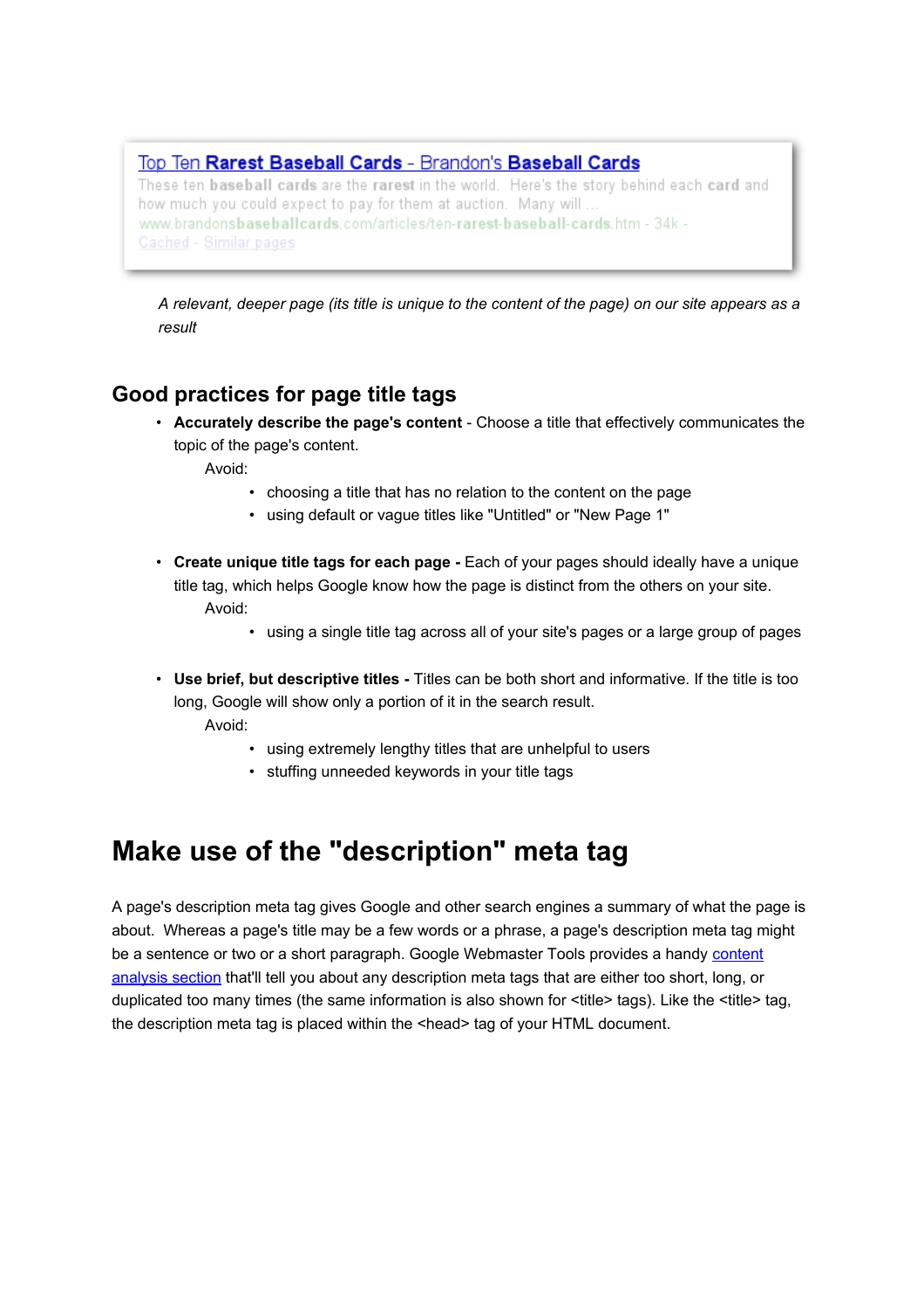#### Top Ten Rarest Baseball Cards - Brandon's Baseball Cards

These ten baseball cards are the rarest in the world. Here's the story behind each card and how much you could expect to pay for them at auction. Many will .. www.brandonsbaseballcards.com/articles/ten-rarest-baseball-cards.htm - 34k -Cached - Similar pages

*A relevant, deeper page (its title is unique to the content of the page) on our site appears as a result*

#### **Good practices for page title tags**

• **Accurately describe the page's content** - Choose a title that effectively communicates the topic of the page's content.

Avoid:

- choosing a title that has no relation to the content on the page
- using default or vague titles like "Untitled" or "New Page 1"
- **Create unique title tags for each page -** Each of your pages should ideally have a unique title tag, which helps Google know how the page is distinct from the others on your site. Avoid:
	- using a single title tag across all of your site's pages or a large group of pages
- **Use brief, but descriptive titles -** Titles can be both short and informative. If the title is too long, Google will show only a portion of it in the search result.

Avoid:

- using extremely lengthy titles that are unhelpful to users
- stuffing unneeded keywords in your title tags

### **Make use of the "description" meta tag**

A page's description meta tag gives Google and other search engines a summary of what the page is about. Whereas a page's title may be a few words or a phrase, a page's description meta tag might be a sentence or two or a short paragraph. Google Webmaster Tools provides a handy [content](http://googlewebmastercentral.blogspot.com/2007/12/new-content-analysis-and-sitemap.html) [analysis section](http://googlewebmastercentral.blogspot.com/2007/12/new-content-analysis-and-sitemap.html) that'll tell you about any description meta tags that are either too short, long, or duplicated too many times (the same information is also shown for  $\lt$ title> tags). Like the  $\lt$ title> tag, the description meta tag is placed within the <head> tag of your HTML document.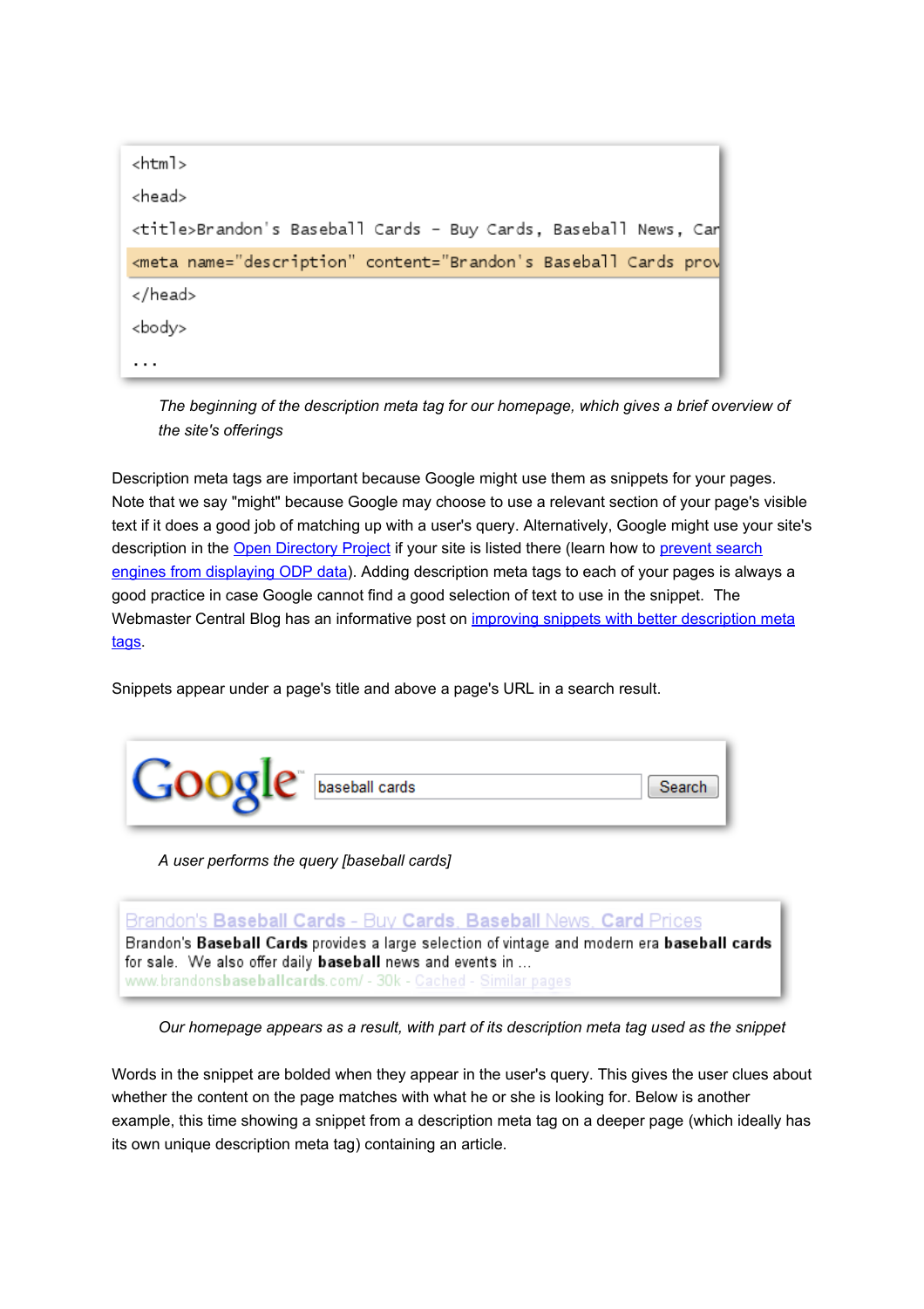| <html></html>                                                           |
|-------------------------------------------------------------------------|
| <head></head>                                                           |
| <title>Brandon's Baseball Cards - Buy Cards, Baseball News, Can</title> |
| <meta name="description" content="Brandon's Baseball Cards prov</td>    |
|                                                                         |
| <body></body>                                                           |
|                                                                         |

*The beginning of the description meta tag for our homepage, which gives a brief overview of the site's offerings*

Description meta tags are important because Google might use them as snippets for your pages. Note that we say "might" because Google may choose to use a relevant section of your page's visible text if it does a good job of matching up with a user's query. Alternatively, Google might use your site's description in the [Open Directory Project](http://www.dmoz.org/) if your site is listed there (learn how to [prevent search](http://www.google.com/support/webmasters/bin/answer.py?answer=35264) [engines from displaying ODP data\)](http://www.google.com/support/webmasters/bin/answer.py?answer=35264). Adding description meta tags to each of your pages is always a good practice in case Google cannot find a good selection of text to use in the snippet. The Webmaster Central Blog has an informative post on [improving snippets with better description meta](http://googlewebmastercentral.blogspot.com/2007/09/improve-snippets-with-meta-description.html) [tags.](http://googlewebmastercentral.blogspot.com/2007/09/improve-snippets-with-meta-description.html)

Snippets appear under a page's title and above a page's URL in a search result.



*A user performs the query [baseball cards]*

Brandon's Baseball Cards - Buy Cards, Baseball News, Card Prices Brandon's Baseball Cards provides a large selection of vintage and modern era baseball cards for sale. We also offer daily baseball news and events in ... www.brandonsbaseballcards.com/ - 30k - Cached - Similar pages

#### *Our homepage appears as a result, with part of its description meta tag used as the snippet*

Words in the snippet are bolded when they appear in the user's query. This gives the user clues about whether the content on the page matches with what he or she is looking for. Below is another example, this time showing a snippet from a description meta tag on a deeper page (which ideally has its own unique description meta tag) containing an article.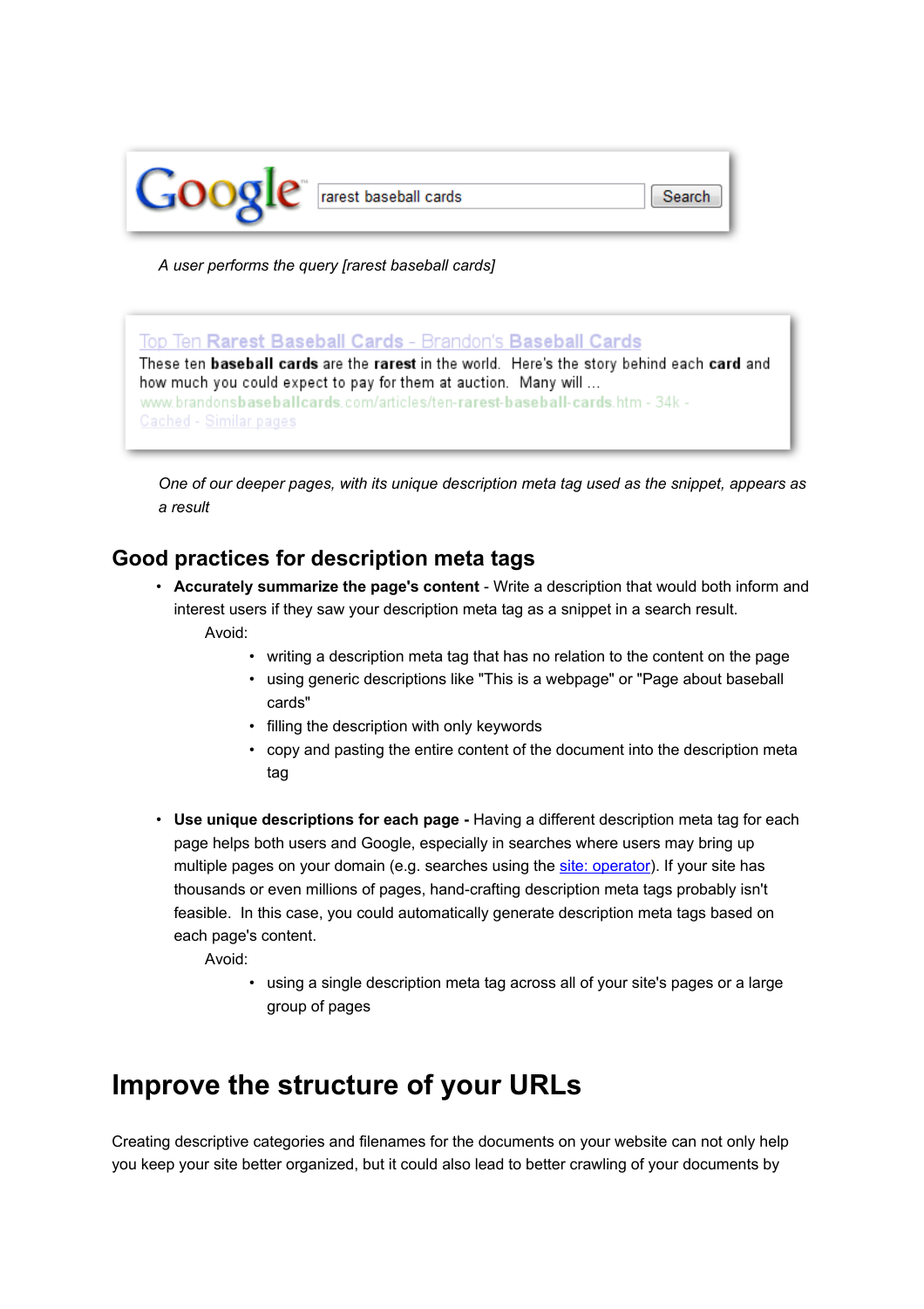| rarest baseball cards | Searc |
|-----------------------|-------|
|-----------------------|-------|

*A user performs the query [rarest baseball cards]*

Top Ten Rarest Baseball Cards - Brandon's Baseball Cards

These ten baseball cards are the rarest in the world. Here's the story behind each card and how much you could expect to pay for them at auction. Many will ... www.brandonsbaseballcards.com/articles/ten-rarest-baseball-cards.htm - 34k -Cached - Similar pages

*One of our deeper pages, with its unique description meta tag used as the snippet, appears as a result*

#### **Good practices for description meta tags**

- **Accurately summarize the page's content** Write a description that would both inform and interest users if they saw your description meta tag as a snippet in a search result. Avoid:
	- writing a description meta tag that has no relation to the content on the page
	- using generic descriptions like "This is a webpage" or "Page about baseball cards"
	- filling the description with only keywords
	- copy and pasting the entire content of the document into the description meta tag
- **Use unique descriptions for each page -** Having a different description meta tag for each page helps both users and Google, especially in searches where users may bring up multiple pages on your domain (e.g. searches using the [site: operator\)](http://www.brianwhite.org/2007/04/27/google-site-operator-an-ode-to-thee/). If your site has thousands or even millions of pages, hand-crafting description meta tags probably isn't feasible. In this case, you could automatically generate description meta tags based on each page's content.

Avoid:

• using a single description meta tag across all of your site's pages or a large group of pages

### **Improve the structure of your URLs**

Creating descriptive categories and filenames for the documents on your website can not only help you keep your site better organized, but it could also lead to better crawling of your documents by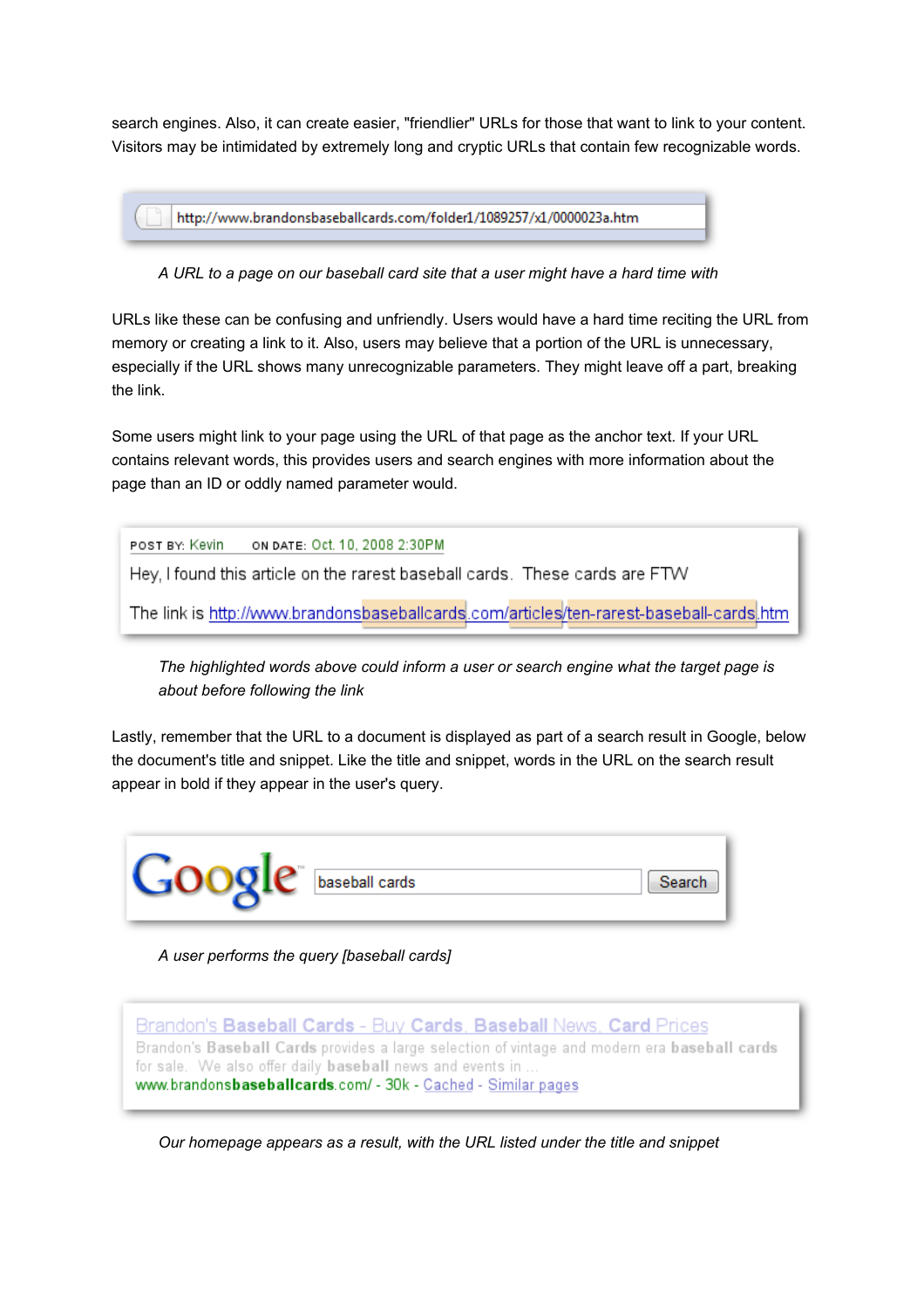search engines. Also, it can create easier, "friendlier" URLs for those that want to link to your content. Visitors may be intimidated by extremely long and cryptic URLs that contain few recognizable words.

http://www.brandonsbaseballcards.com/folder1/1089257/x1/0000023a.htm

*A URL to a page on our baseball card site that a user might have a hard time with*

URLs like these can be confusing and unfriendly. Users would have a hard time reciting the URL from memory or creating a link to it. Also, users may believe that a portion of the URL is unnecessary, especially if the URL shows many unrecognizable parameters. They might leave off a part, breaking the link.

Some users might link to your page using the URL of that page as the anchor text. If your URL contains relevant words, this provides users and search engines with more information about the page than an ID or oddly named parameter would.

POST BY: Kevin ON DATE: Oct. 10, 2008 2:30PM

Hey, I found this article on the rarest baseball cards. These cards are FTW

The link is http://www.brandonsbaseballcards.com/articles/ten-rarest-baseball-cards.htm

*The highlighted words above could inform a user or search engine what the target page is about before following the link*

Lastly, remember that the URL to a document is displayed as part of a search result in Google, below the document's title and snippet. Like the title and snippet, words in the URL on the search result appear in bold if they appear in the user's query.



*A user performs the query [baseball cards]*

Brandon's Baseball Cards - Buy Cards, Baseball News, Card Prices Brandon's Baseball Cards provides a large selection of vintage and modern era baseball cards for sale. We also offer daily baseball news and events in .. www.brandonsbaseballcards.com/ - 30k - Cached - Similar pages

*Our homepage appears as a result, with the URL listed under the title and snippet*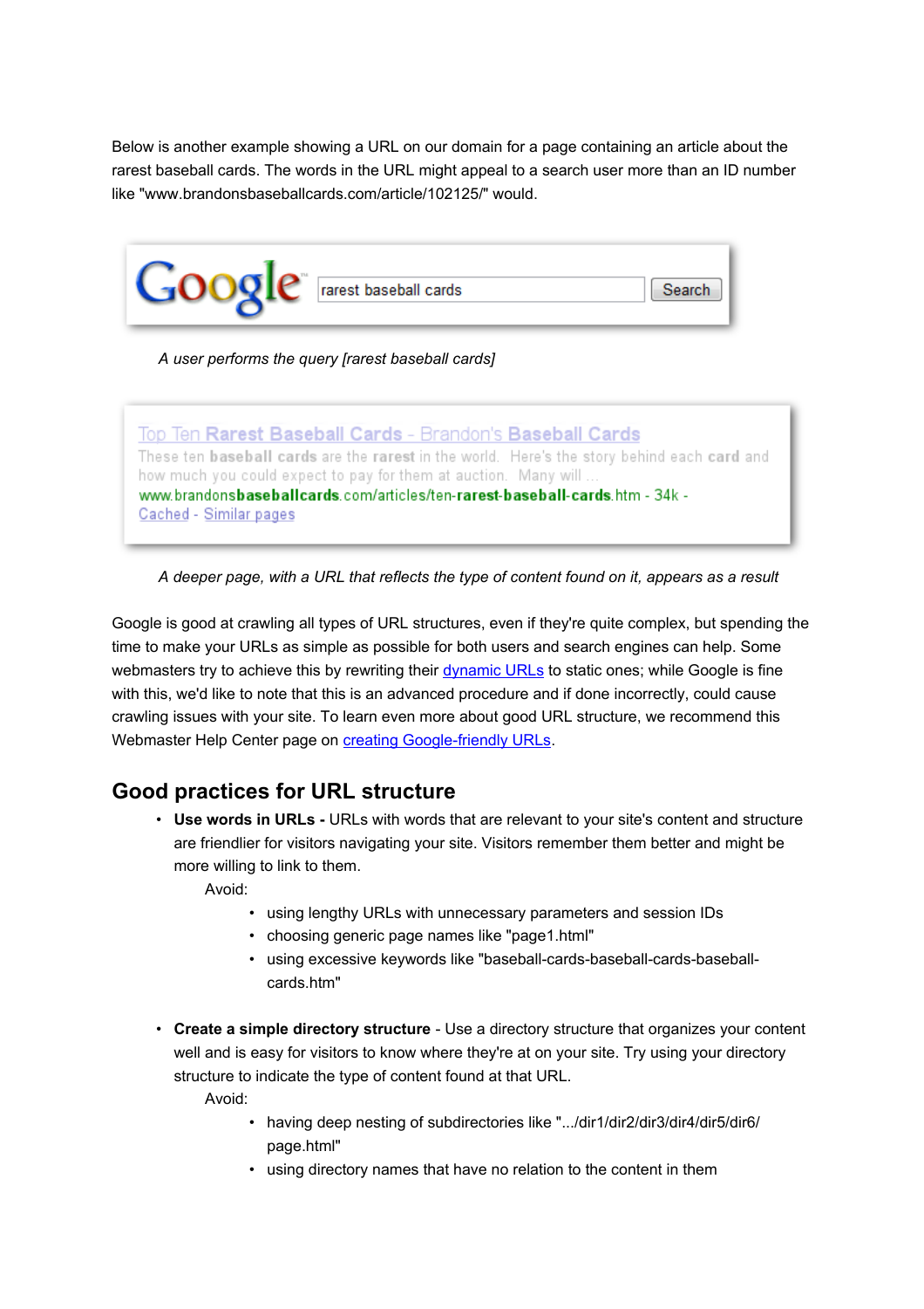Below is another example showing a URL on our domain for a page containing an article about the rarest baseball cards. The words in the URL might appeal to a search user more than an ID number like "www.brandonsbaseballcards.com/article/102125/" would.



*A user performs the query [rarest baseball cards]*



*A deeper page, with a URL that reflects the type of content found on it, appears as a result*

Google is good at crawling all types of URL structures, even if they're quite complex, but spending the time to make your URLs as simple as possible for both users and search engines can help. Some webmasters try to achieve this by rewriting their [dynamic URLs](http://www.google.com/support/webmasters/bin/answer.py?answer=34431) to static ones; while Google is fine with this, we'd like to note that this is an advanced procedure and if done incorrectly, could cause crawling issues with your site. To learn even more about good URL structure, we recommend this Webmaster Help Center page on [creating Google-friendly URLs.](http://www.google.com/support/webmasters/bin/answer.py?answer=76329)

#### **Good practices for URL structure**

• **Use words in URLs -** URLs with words that are relevant to your site's content and structure are friendlier for visitors navigating your site. Visitors remember them better and might be more willing to link to them.

Avoid:

- using lengthy URLs with unnecessary parameters and session IDs
- choosing generic page names like "page1.html"
- using excessive keywords like "baseball-cards-baseball-cards-baseballcards.htm"
- **Create a simple directory structure** Use a directory structure that organizes your content well and is easy for visitors to know where they're at on your site. Try using your directory structure to indicate the type of content found at that URL.

Avoid:

- having deep nesting of subdirectories like ".../dir1/dir2/dir3/dir4/dir5/dir6/ page.html"
- using directory names that have no relation to the content in them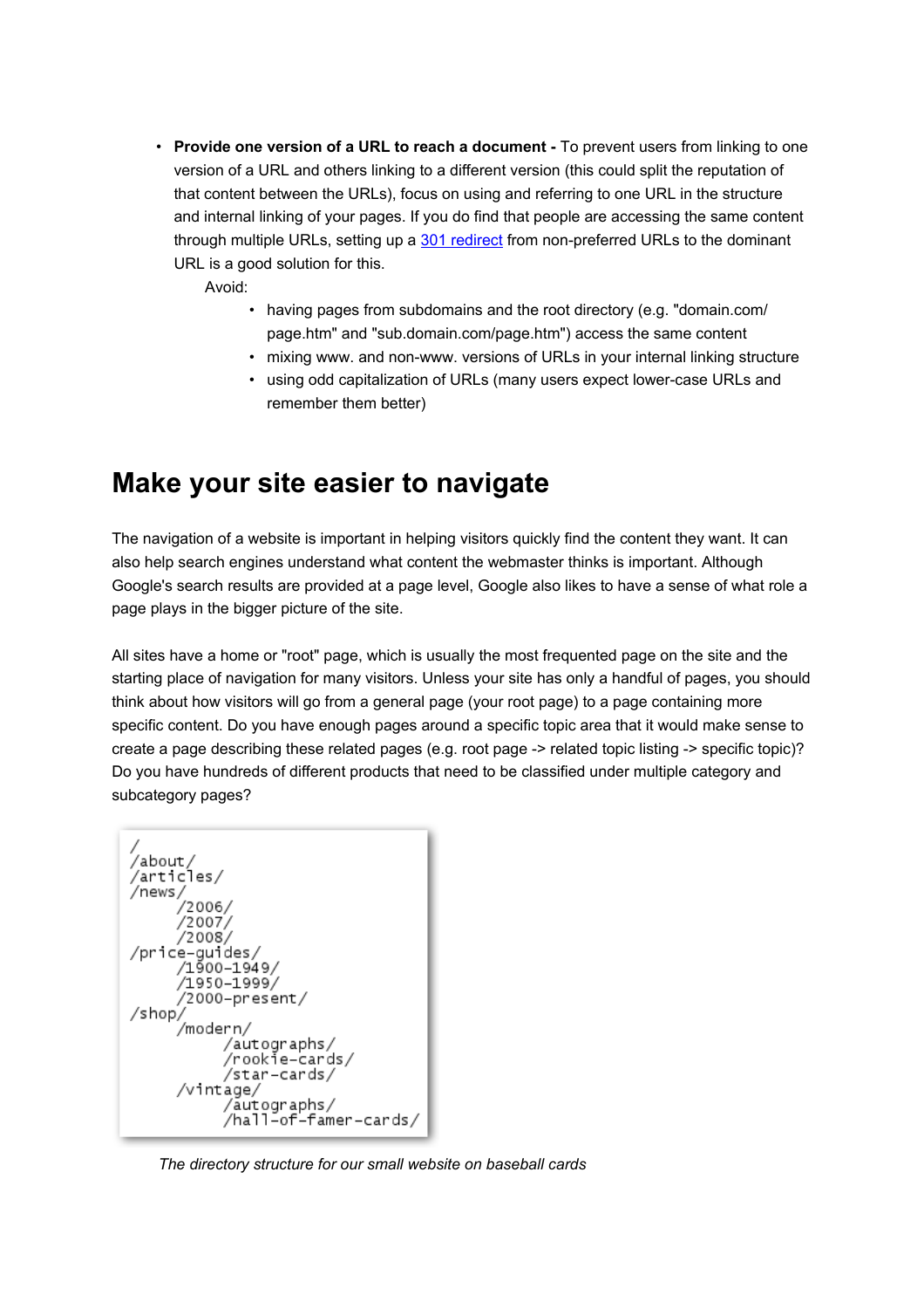• **Provide one version of a URL to reach a document -** To prevent users from linking to one version of a URL and others linking to a different version (this could split the reputation of that content between the URLs), focus on using and referring to one URL in the structure and internal linking of your pages. If you do find that people are accessing the same content through multiple URLs, setting up a [301 redirect](http://www.google.com/support/webmasters/bin/answer.py?answer=93633) from non-preferred URLs to the dominant URL is a good solution for this.

Avoid:

- having pages from subdomains and the root directory (e.g. "domain.com/ page.htm" and "sub.domain.com/page.htm") access the same content
- mixing www. and non-www. versions of URLs in your internal linking structure
- using odd capitalization of URLs (many users expect lower-case URLs and remember them better)

### **Make your site easier to navigate**

The navigation of a website is important in helping visitors quickly find the content they want. It can also help search engines understand what content the webmaster thinks is important. Although Google's search results are provided at a page level, Google also likes to have a sense of what role a page plays in the bigger picture of the site.

All sites have a home or "root" page, which is usually the most frequented page on the site and the starting place of navigation for many visitors. Unless your site has only a handful of pages, you should think about how visitors will go from a general page (your root page) to a page containing more specific content. Do you have enough pages around a specific topic area that it would make sense to create a page describing these related pages (e.g. root page -> related topic listing -> specific topic)? Do you have hundreds of different products that need to be classified under multiple category and subcategory pages?



*The directory structure for our small website on baseball cards*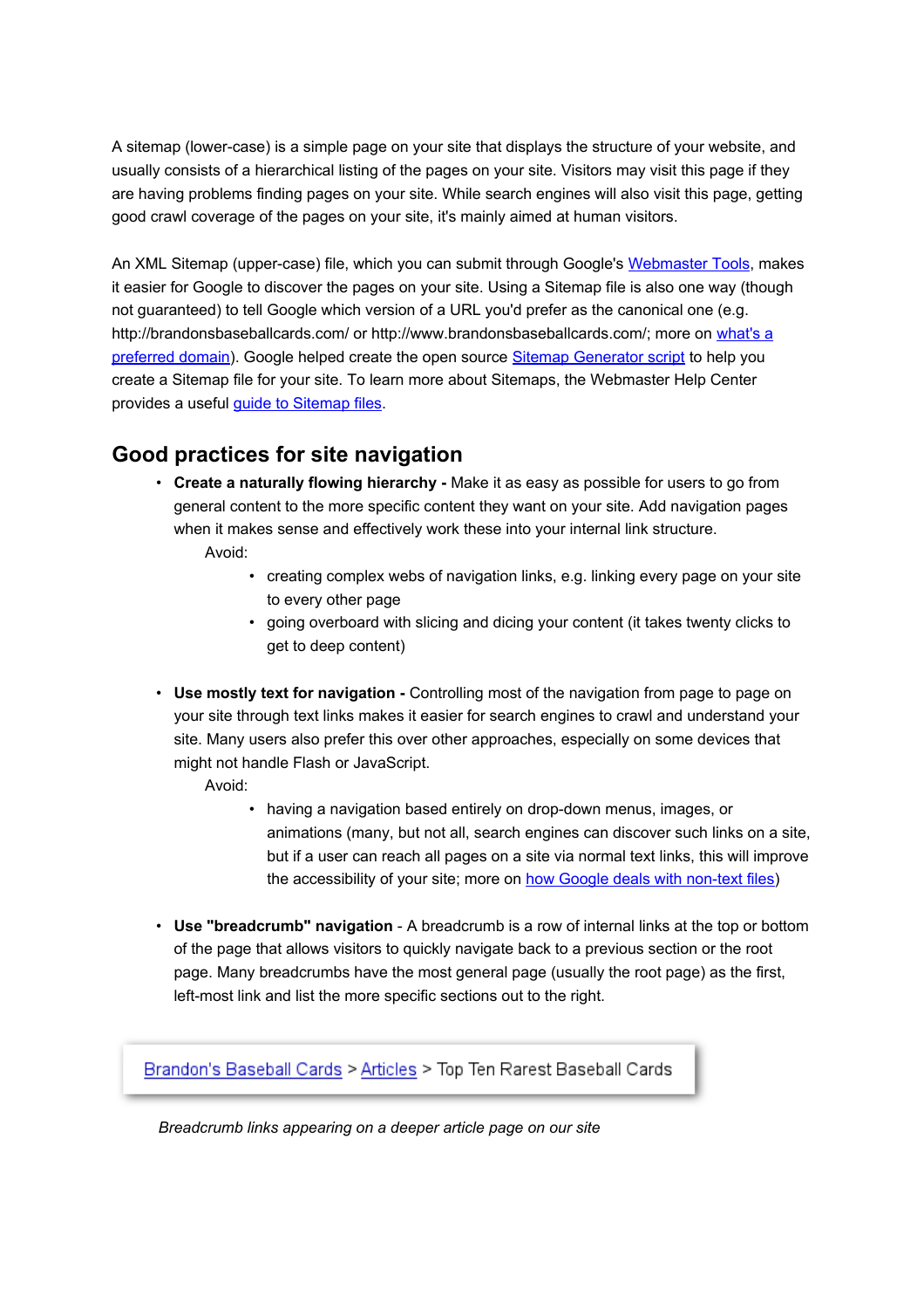A sitemap (lower-case) is a simple page on your site that displays the structure of your website, and usually consists of a hierarchical listing of the pages on your site. Visitors may visit this page if they are having problems finding pages on your site. While search engines will also visit this page, getting good crawl coverage of the pages on your site, it's mainly aimed at human visitors.

An XML Sitemap (upper-case) file, which you can submit through Google's [Webmaster Tools,](https://www.google.com/webmasters/tools/) makes it easier for Google to discover the pages on your site. Using a Sitemap file is also one way (though not guaranteed) to tell Google which version of a URL you'd prefer as the canonical one (e.g. http://brandonsbaseballcards.com/ or http://www.brandonsbaseballcards.com/; more on [what's a](http://www.google.com/support/webmasters/bin/answer.py?answer=44231) [preferred domain](http://www.google.com/support/webmasters/bin/answer.py?answer=44231)). Google helped create the open source [Sitemap Generator script](https://www.google.com/webmasters/tools/docs/en/sitemap-generator.html) to help you create a Sitemap file for your site. To learn more about Sitemaps, the Webmaster Help Center provides a useful [guide to Sitemap files.](http://www.google.com/support/webmasters/bin/answer.py?answer=40318)

#### **Good practices for site navigation**

• **Create a naturally flowing hierarchy -** Make it as easy as possible for users to go from general content to the more specific content they want on your site. Add navigation pages when it makes sense and effectively work these into your internal link structure.

Avoid:

- creating complex webs of navigation links, e.g. linking every page on your site to every other page
- going overboard with slicing and dicing your content (it takes twenty clicks to get to deep content)
- **Use mostly text for navigation -** Controlling most of the navigation from page to page on your site through text links makes it easier for search engines to crawl and understand your site. Many users also prefer this over other approaches, especially on some devices that might not handle Flash or JavaScript.

Avoid:

- having a navigation based entirely on drop-down menus, images, or animations (many, but not all, search engines can discover such links on a site, but if a user can reach all pages on a site via normal text links, this will improve the accessibility of your site; more on [how Google deals with non-text files\)](http://www.google.com/support/webmasters/bin/answer.py?answer=72746)
- **Use "breadcrumb" navigation** A breadcrumb is a row of internal links at the top or bottom of the page that allows visitors to quickly navigate back to a previous section or the root page. Many breadcrumbs have the most general page (usually the root page) as the first, left-most link and list the more specific sections out to the right.

Brandon's Baseball Cards > Articles > Top Ten Rarest Baseball Cards

*Breadcrumb links appearing on a deeper article page on our site*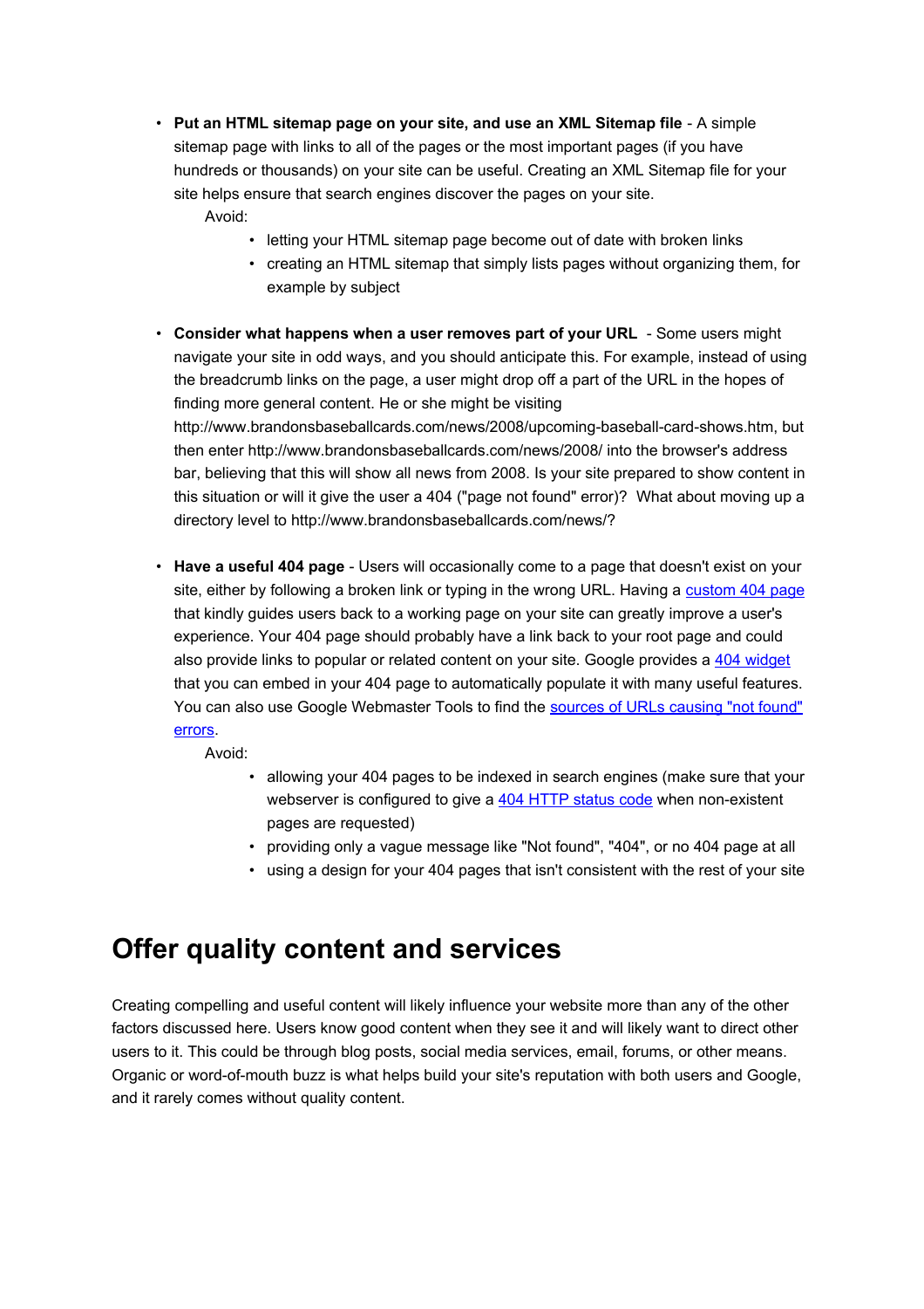- **Put an HTML sitemap page on your site, and use an XML Sitemap file** A simple sitemap page with links to all of the pages or the most important pages (if you have hundreds or thousands) on your site can be useful. Creating an XML Sitemap file for your site helps ensure that search engines discover the pages on your site.
	- Avoid:
		- letting your HTML sitemap page become out of date with broken links
		- creating an HTML sitemap that simply lists pages without organizing them, for example by subject
- **Consider what happens when a user removes part of your URL** Some users might navigate your site in odd ways, and you should anticipate this. For example, instead of using the breadcrumb links on the page, a user might drop off a part of the URL in the hopes of finding more general content. He or she might be visiting http://www.brandonsbaseballcards.com/news/2008/upcoming-baseball-card-shows.htm, but then enter http://www.brandonsbaseballcards.com/news/2008/ into the browser's address bar, believing that this will show all news from 2008. Is your site prepared to show content in this situation or will it give the user a 404 ("page not found" error)? What about moving up a directory level to http://www.brandonsbaseballcards.com/news/?
- **Have a useful 404 page** Users will occasionally come to a page that doesn't exist on your site, either by following a broken link or typing in the wrong URL. Having a [custom 404 page](http://www.google.com/support/webmasters/bin/answer.py?answer=93641) that kindly guides users back to a working page on your site can greatly improve a user's experience. Your 404 page should probably have a link back to your root page and could also provide links to popular or related content on your site. Google provides a [404 widget](http://googlewebmastercentral.blogspot.com/2008/08/make-your-404-pages-more-useful.html) that you can embed in your 404 page to automatically populate it with many useful features. You can also use Google Webmaster Tools to find the [sources of URLs causing "not found"](http://googlewebmastercentral.blogspot.com/2008/10/webmaster-tools-shows-crawl-error.html) [errors](http://googlewebmastercentral.blogspot.com/2008/10/webmaster-tools-shows-crawl-error.html).

Avoid:

- allowing your 404 pages to be indexed in search engines (make sure that your webserver is configured to give a [404 HTTP status code](http://www.w3.org/Protocols/rfc2616/rfc2616-sec10.html) when non-existent pages are requested)
- providing only a vague message like "Not found", "404", or no 404 page at all
- using a design for your 404 pages that isn't consistent with the rest of your site

### **Offer quality content and services**

Creating compelling and useful content will likely influence your website more than any of the other factors discussed here. Users know good content when they see it and will likely want to direct other users to it. This could be through blog posts, social media services, email, forums, or other means. Organic or word-of-mouth buzz is what helps build your site's reputation with both users and Google, and it rarely comes without quality content.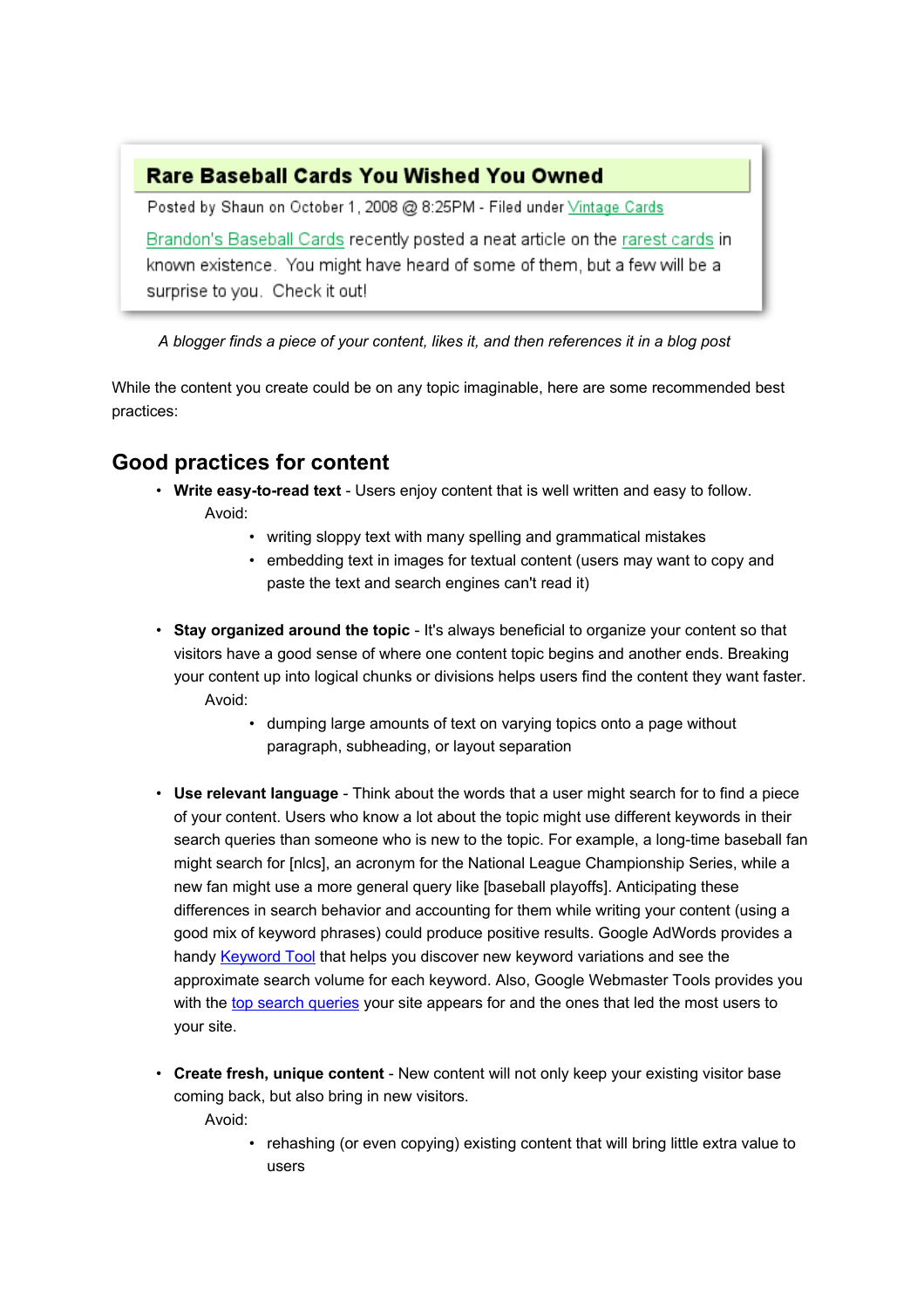#### Rare Baseball Cards You Wished You Owned

Posted by Shaun on October 1, 2008 @ 8:25PM - Filed under Vintage Cards

Brandon's Baseball Cards recently posted a neat article on the rarest cards in known existence. You might have heard of some of them, but a few will be a surprise to you. Check it out!

*A blogger finds a piece of your content, likes it, and then references it in a blog post*

While the content you create could be on any topic imaginable, here are some recommended best practices:

### **Good practices for content**

- **Write easy-to-read text** Users enjoy content that is well written and easy to follow. Avoid:
	- writing sloppy text with many spelling and grammatical mistakes
	- embedding text in images for textual content (users may want to copy and paste the text and search engines can't read it)
- **Stay organized around the topic** It's always beneficial to organize your content so that visitors have a good sense of where one content topic begins and another ends. Breaking your content up into logical chunks or divisions helps users find the content they want faster. Avoid:
	- dumping large amounts of text on varying topics onto a page without paragraph, subheading, or layout separation
- **Use relevant language** Think about the words that a user might search for to find a piece of your content. Users who know a lot about the topic might use different keywords in their search queries than someone who is new to the topic. For example, a long-time baseball fan might search for [nlcs], an acronym for the National League Championship Series, while a new fan might use a more general query like [baseball playoffs]. Anticipating these differences in search behavior and accounting for them while writing your content (using a good mix of keyword phrases) could produce positive results. Google AdWords provides a handy [Keyword Tool](https://adwords.google.com/select/KeywordToolExternal) that helps you discover new keyword variations and see the approximate search volume for each keyword. Also, Google Webmaster Tools provides you with the [top search queries](http://www.google.com/webmasters/edu/quickstartguide/sub1guide5.html) your site appears for and the ones that led the most users to your site.
- **Create fresh, unique content** New content will not only keep your existing visitor base coming back, but also bring in new visitors.

Avoid:

• rehashing (or even copying) existing content that will bring little extra value to users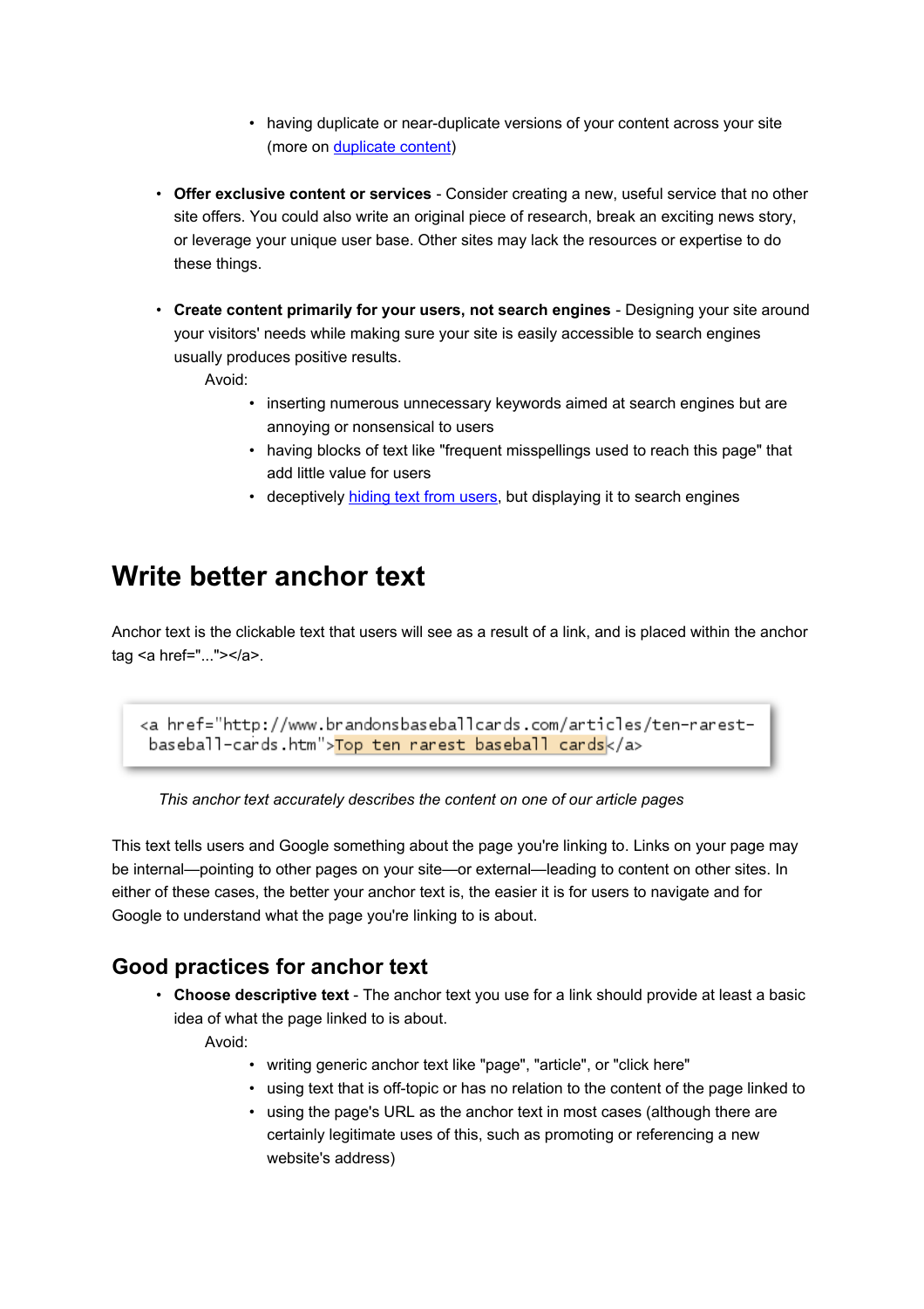- having duplicate or near-duplicate versions of your content across your site (more on [duplicate content](http://www.google.com/support/webmasters/bin/answer.py?answer=66359))
- **Offer exclusive content or services** Consider creating a new, useful service that no other site offers. You could also write an original piece of research, break an exciting news story, or leverage your unique user base. Other sites may lack the resources or expertise to do these things.
- **Create content primarily for your users, not search engines** Designing your site around your visitors' needs while making sure your site is easily accessible to search engines usually produces positive results.

Avoid:

- inserting numerous unnecessary keywords aimed at search engines but are annoying or nonsensical to users
- having blocks of text like "frequent misspellings used to reach this page" that add little value for users
- deceptively [hiding text from users](http://www.google.com/support/webmasters/bin/answer.py?answer=66353), but displaying it to search engines

### **Write better anchor text**

Anchor text is the clickable text that users will see as a result of a link, and is placed within the anchor tag <a href="..."></a>.

<a href="http://www.brandonsbaseballcards.com/articles/ten-rarestbaseball-cards.htm">Top ten rarest baseball cards</a>



This text tells users and Google something about the page you're linking to. Links on your page may be internal—pointing to other pages on your site—or external—leading to content on other sites. In either of these cases, the better your anchor text is, the easier it is for users to navigate and for Google to understand what the page you're linking to is about.

#### **Good practices for anchor text**

• **Choose descriptive text** - The anchor text you use for a link should provide at least a basic idea of what the page linked to is about.

Avoid:

- writing generic anchor text like "page", "article", or "click here"
- using text that is off-topic or has no relation to the content of the page linked to
- using the page's URL as the anchor text in most cases (although there are certainly legitimate uses of this, such as promoting or referencing a new website's address)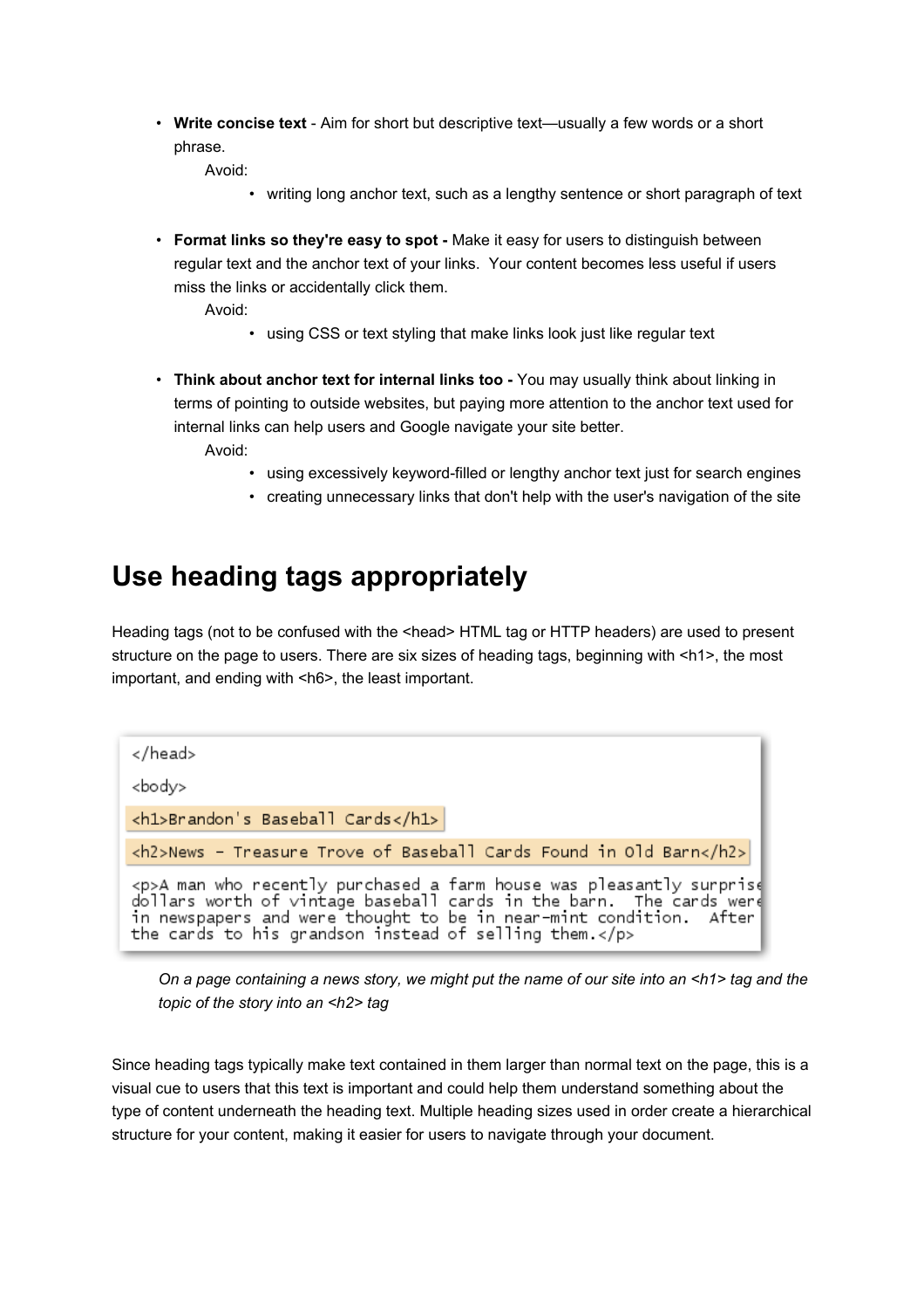• **Write concise text** - Aim for short but descriptive text—usually a few words or a short phrase.

Avoid:

- writing long anchor text, such as a lengthy sentence or short paragraph of text
- **Format links so they're easy to spot -** Make it easy for users to distinguish between regular text and the anchor text of your links. Your content becomes less useful if users miss the links or accidentally click them.

Avoid:

- using CSS or text styling that make links look just like regular text
- **Think about anchor text for internal links too -** You may usually think about linking in terms of pointing to outside websites, but paying more attention to the anchor text used for internal links can help users and Google navigate your site better.

Avoid:

- using excessively keyword-filled or lengthy anchor text just for search engines
- creating unnecessary links that don't help with the user's navigation of the site

### **Use heading tags appropriately**

Heading tags (not to be confused with the <head> HTML tag or HTTP headers) are used to present structure on the page to users. There are six sizes of heading tags, beginning with <h1>, the most important, and ending with <h6>, the least important.

| <body></body>                                                                                                                                                                                                                                                                  |
|--------------------------------------------------------------------------------------------------------------------------------------------------------------------------------------------------------------------------------------------------------------------------------|
| <h1>Brandon's Baseball Cards</h1>                                                                                                                                                                                                                                              |
| <h2>News - Treasure Trove of Baseball Cards Found in Old Barn</h2>                                                                                                                                                                                                             |
| <p>A man who recently purchased a farm house was pleasantly surprise<br/>dollars worth of vintage baseball cards in the barn. The cards were<br/>in newspapers and were thought to be in near-mint condition. After<br/>the cards to his grandson instead of selling them.</p> |

*On a page containing a news story, we might put the name of our site into an <h1> tag and the topic of the story into an <h2> tag*

Since heading tags typically make text contained in them larger than normal text on the page, this is a visual cue to users that this text is important and could help them understand something about the type of content underneath the heading text. Multiple heading sizes used in order create a hierarchical structure for your content, making it easier for users to navigate through your document.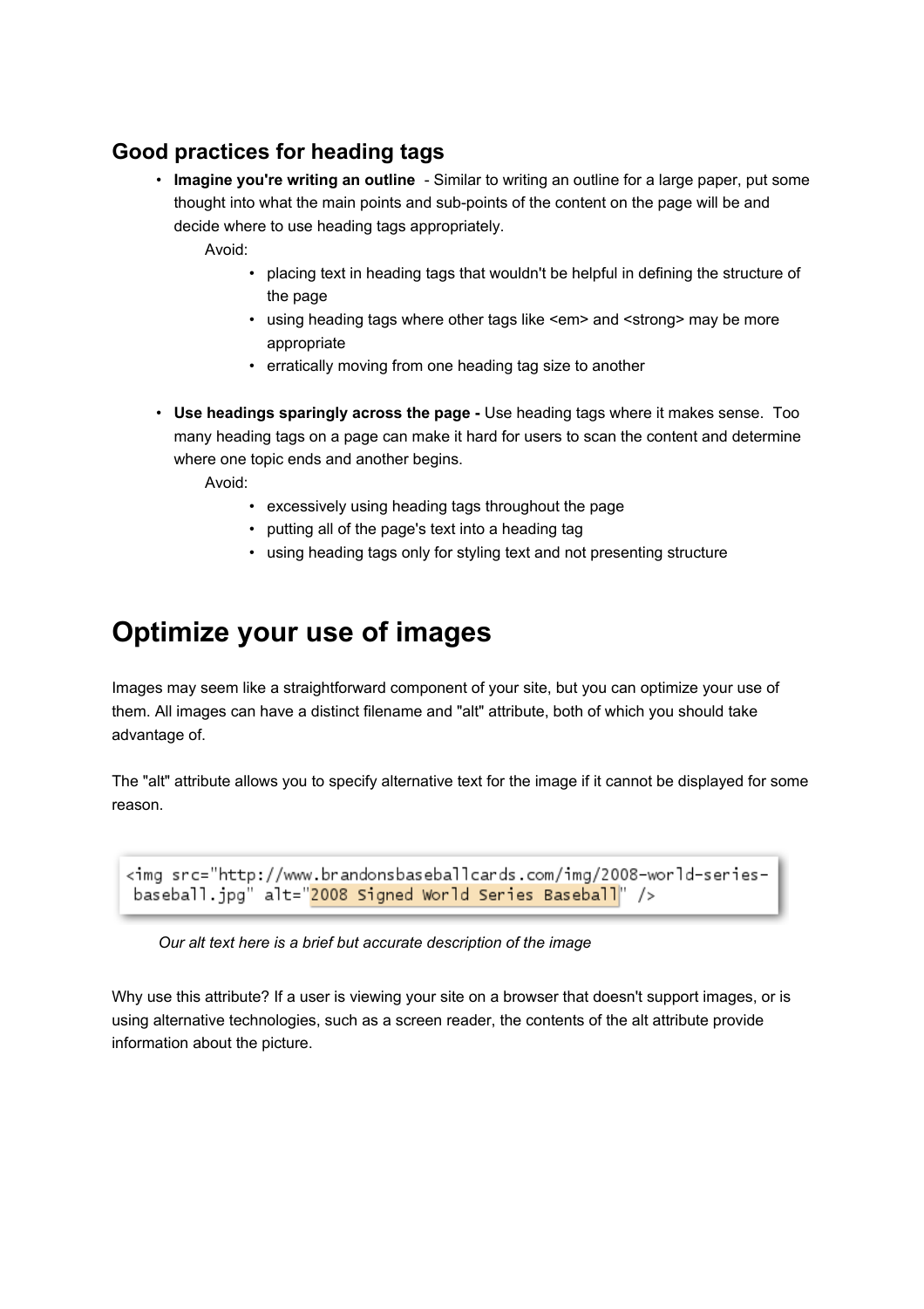#### **Good practices for heading tags**

• **Imagine you're writing an outline** - Similar to writing an outline for a large paper, put some thought into what the main points and sub-points of the content on the page will be and decide where to use heading tags appropriately.

Avoid:

- placing text in heading tags that wouldn't be helpful in defining the structure of the page
- using heading tags where other tags like <em> and <strong> may be more appropriate
- erratically moving from one heading tag size to another
- **Use headings sparingly across the page -** Use heading tags where it makes sense. Too many heading tags on a page can make it hard for users to scan the content and determine where one topic ends and another begins.

Avoid:

- excessively using heading tags throughout the page
- putting all of the page's text into a heading tag
- using heading tags only for styling text and not presenting structure

# **Optimize your use of images**

Images may seem like a straightforward component of your site, but you can optimize your use of them. All images can have a distinct filename and "alt" attribute, both of which you should take advantage of.

The "alt" attribute allows you to specify alternative text for the image if it cannot be displayed for some reason.

<img src="http://www.brandonsbaseballcards.com/img/2008-world-seriesbaseball.jpg" alt="2008 Signed World Series Baseball" />

*Our alt text here is a brief but accurate description of the image*

Why use this attribute? If a user is viewing your site on a browser that doesn't support images, or is using alternative technologies, such as a screen reader, the contents of the alt attribute provide information about the picture.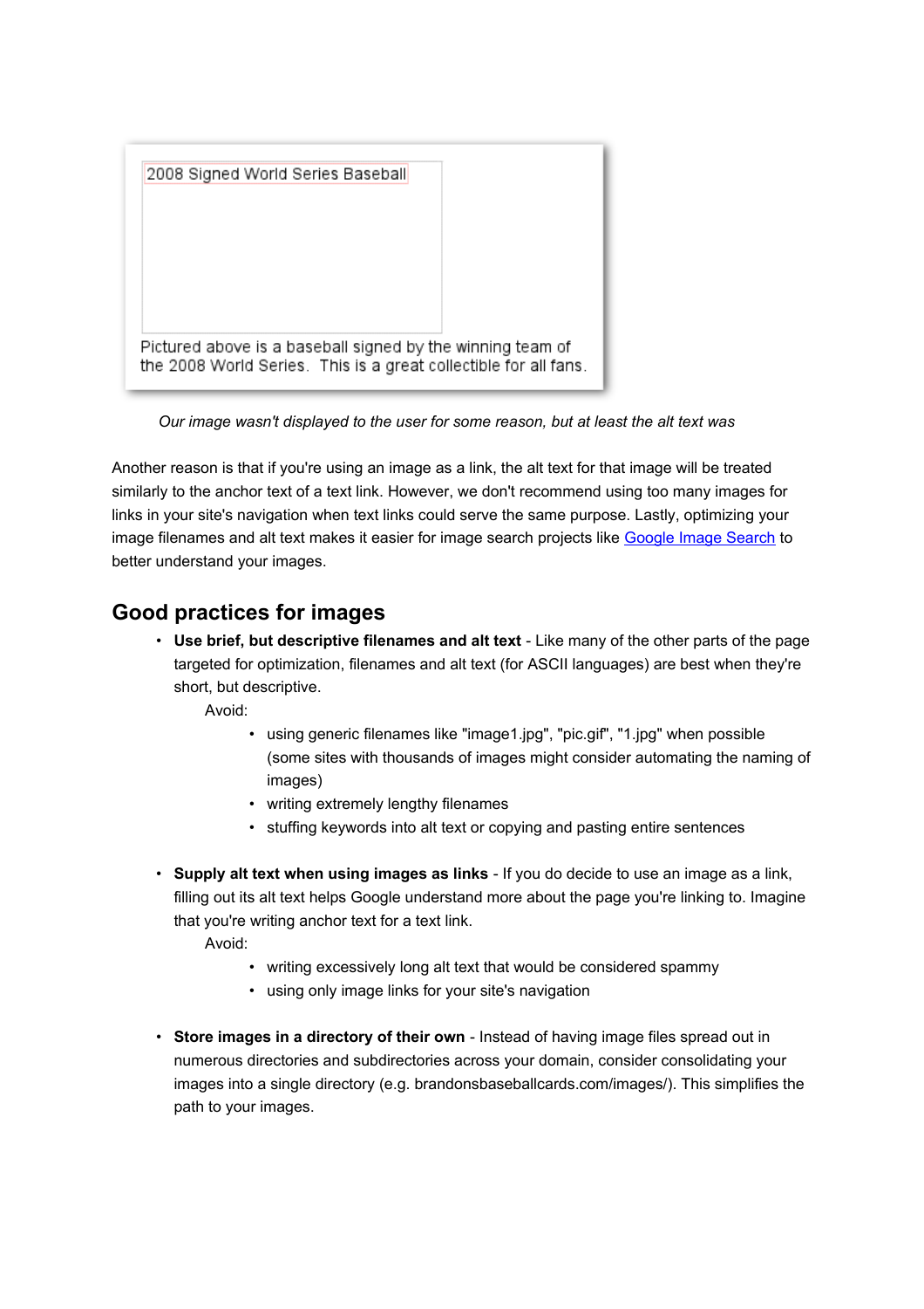

*Our image wasn't displayed to the user for some reason, but at least the alt text was*

Another reason is that if you're using an image as a link, the alt text for that image will be treated similarly to the anchor text of a text link. However, we don't recommend using too many images for links in your site's navigation when text links could serve the same purpose. Lastly, optimizing your image filenames and alt text makes it easier for image search projects like [Google Image Search](http://images.google.com/) to better understand your images.

### **Good practices for images**

• **Use brief, but descriptive filenames and alt text** - Like many of the other parts of the page targeted for optimization, filenames and alt text (for ASCII languages) are best when they're short, but descriptive.

Avoid:

- using generic filenames like "image1.jpg", "pic.gif", "1.jpg" when possible (some sites with thousands of images might consider automating the naming of images)
- writing extremely lengthy filenames
- stuffing keywords into alt text or copying and pasting entire sentences
- **Supply alt text when using images as links** If you do decide to use an image as a link, filling out its alt text helps Google understand more about the page you're linking to. Imagine that you're writing anchor text for a text link.

Avoid:

- writing excessively long alt text that would be considered spammy
- using only image links for your site's navigation
- **Store images in a directory of their own** Instead of having image files spread out in numerous directories and subdirectories across your domain, consider consolidating your images into a single directory (e.g. brandonsbaseballcards.com/images/). This simplifies the path to your images.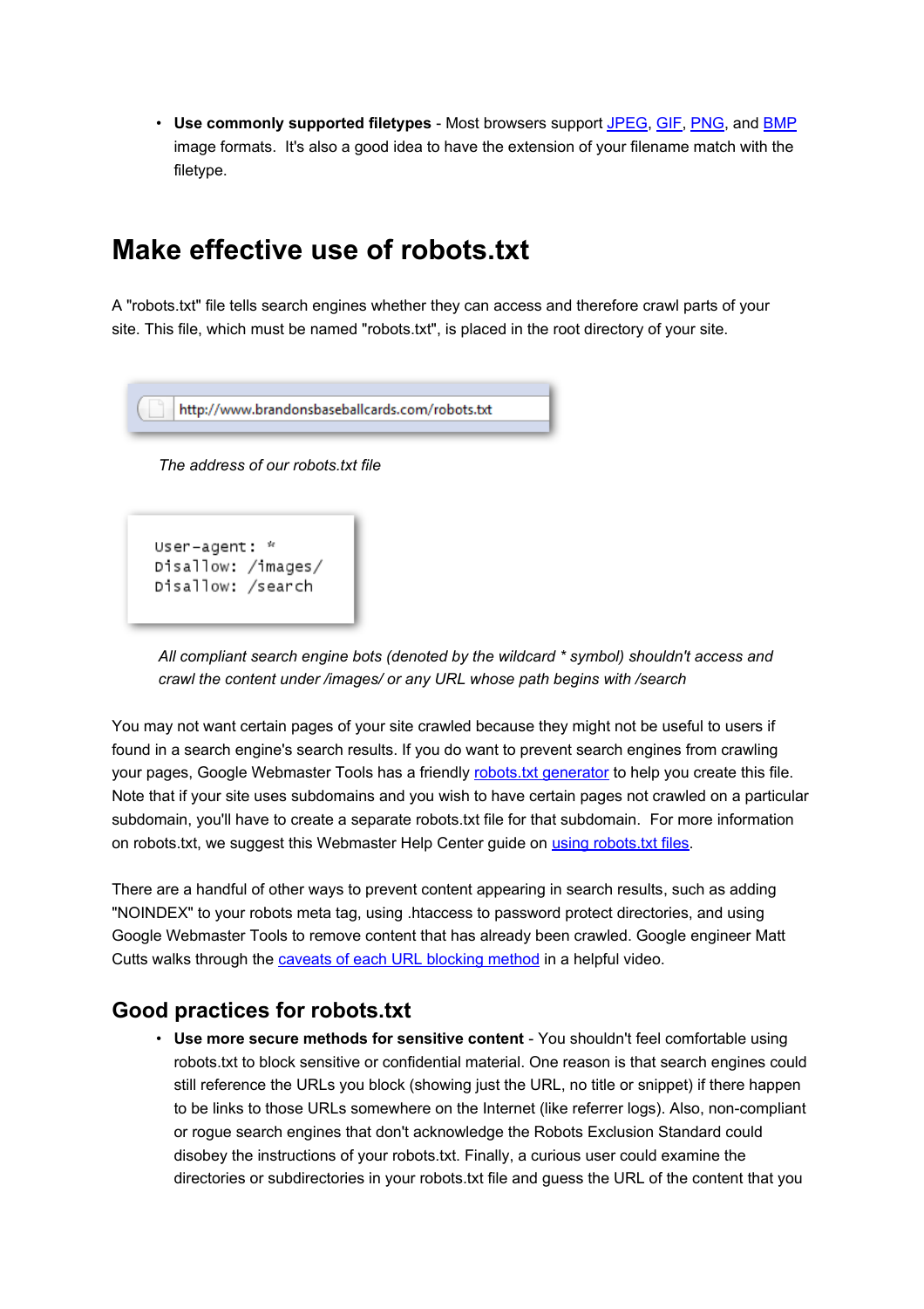• **Use commonly supported filetypes** - Most browsers support [JPEG](http://en.wikipedia.org/wiki/JPEG), [GIF](http://en.wikipedia.org/wiki/GIF), [PNG,](http://en.wikipedia.org/wiki/Portable_Network_Graphics) and [BMP](http://en.wikipedia.org/wiki/BMP_file_format) image formats. It's also a good idea to have the extension of your filename match with the filetype.

### **Make effective use of robots.txt**

A "robots.txt" file tells search engines whether they can access and therefore crawl parts of your site. This file, which must be named "robots.txt", is placed in the root directory of your site.

| http://www.brandonsbaseballcards.com/robots.txt |  |
|-------------------------------------------------|--|
| The address of our robots txt file              |  |

```
User-agent: *
Disallow: /images/
Disallow: /search
```
*All compliant search engine bots (denoted by the wildcard \* symbol) shouldn't access and crawl the content under /images/ or any URL whose path begins with /search*

You may not want certain pages of your site crawled because they might not be useful to users if found in a search engine's search results. If you do want to prevent search engines from crawling your pages, Google Webmaster Tools has a friendly [robots.txt generator](http://googlewebmastercentral.blogspot.com/2008/03/speaking-language-of-robots.html) to help you create this file. Note that if your site uses subdomains and you wish to have certain pages not crawled on a particular subdomain, you'll have to create a separate robots.txt file for that subdomain. For more information on robots.txt, we suggest this Webmaster Help Center guide on [using robots.txt files.](http://www.google.com/support/webmasters/bin/answer.py?answer=40360)

There are a handful of other ways to prevent content appearing in search results, such as adding "NOINDEX" to your robots meta tag, using .htaccess to password protect directories, and using Google Webmaster Tools to remove content that has already been crawled. Google engineer Matt Cutts walks through the [caveats of each URL blocking method](http://googlewebmastercentral.blogspot.com/2008/01/remove-your-content-from-google.html) in a helpful video.

#### **Good practices for robots.txt**

• **Use more secure methods for sensitive content** - You shouldn't feel comfortable using robots.txt to block sensitive or confidential material. One reason is that search engines could still reference the URLs you block (showing just the URL, no title or snippet) if there happen to be links to those URLs somewhere on the Internet (like referrer logs). Also, non-compliant or rogue search engines that don't acknowledge the Robots Exclusion Standard could disobey the instructions of your robots.txt. Finally, a curious user could examine the directories or subdirectories in your robots.txt file and guess the URL of the content that you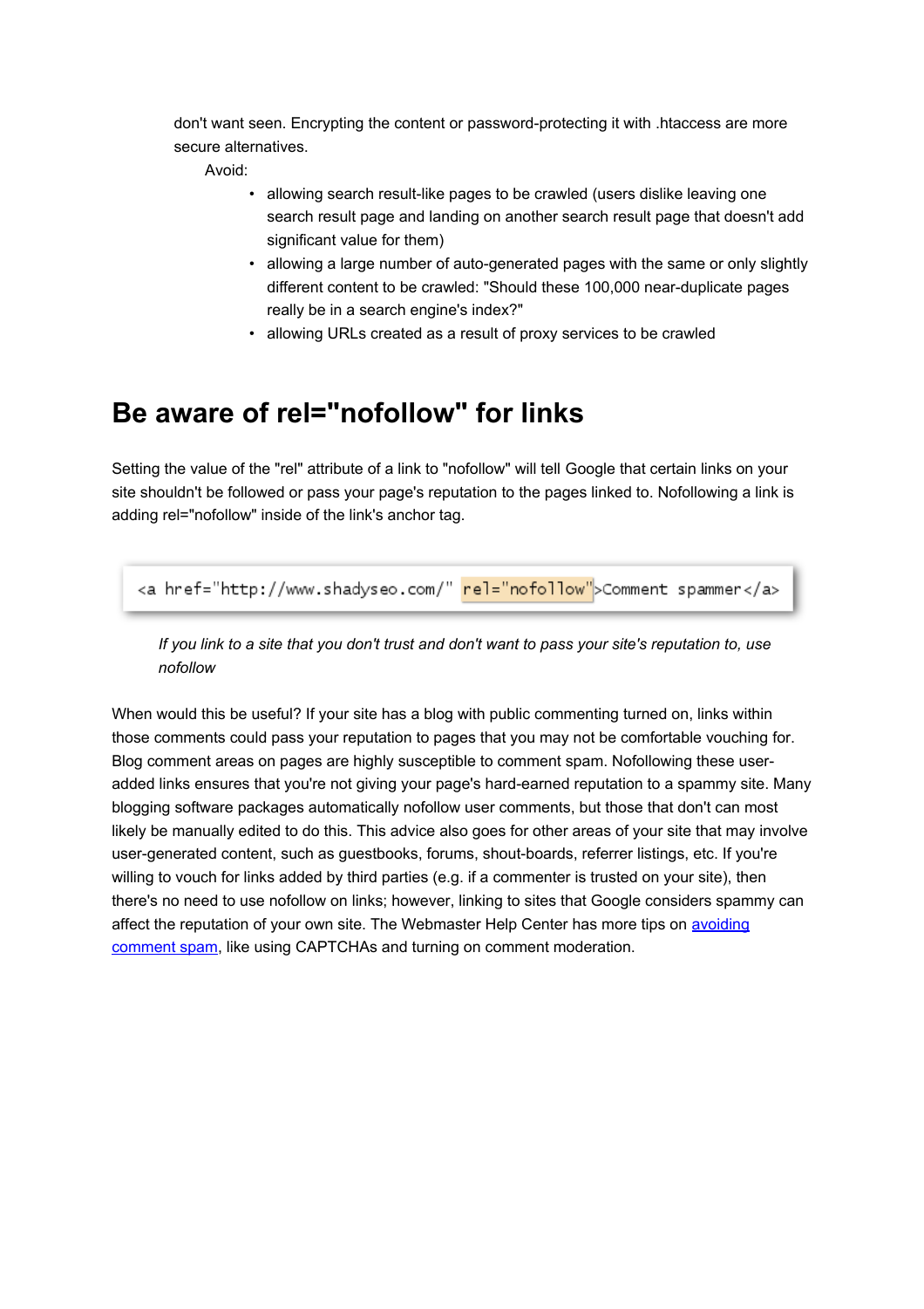don't want seen. Encrypting the content or password-protecting it with .htaccess are more secure alternatives.

Avoid:

- allowing search result-like pages to be crawled (users dislike leaving one search result page and landing on another search result page that doesn't add significant value for them)
- allowing a large number of auto-generated pages with the same or only slightly different content to be crawled: "Should these 100,000 near-duplicate pages really be in a search engine's index?"
- allowing URLs created as a result of proxy services to be crawled

### **Be aware of rel="nofollow" for links**

Setting the value of the "rel" attribute of a link to "nofollow" will tell Google that certain links on your site shouldn't be followed or pass your page's reputation to the pages linked to. Nofollowing a link is adding rel="nofollow" inside of the link's anchor tag.

<a href="http://www.shadyseo.com/" rel="nofollow">Comment spammer</a>

*If you link to a site that you don't trust and don't want to pass your site's reputation to, use nofollow*

When would this be useful? If your site has a blog with public commenting turned on, links within those comments could pass your reputation to pages that you may not be comfortable vouching for. Blog comment areas on pages are highly susceptible to comment spam. Nofollowing these useradded links ensures that you're not giving your page's hard-earned reputation to a spammy site. Many blogging software packages automatically nofollow user comments, but those that don't can most likely be manually edited to do this. This advice also goes for other areas of your site that may involve user-generated content, such as guestbooks, forums, shout-boards, referrer listings, etc. If you're willing to vouch for links added by third parties (e.g. if a commenter is trusted on your site), then there's no need to use nofollow on links; however, linking to sites that Google considers spammy can affect the reputation of your own site. The Webmaster Help Center has more tips on [avoiding](http://www.google.com/support/webmasters/bin/answer.py?answer=81749) [comment spam](http://www.google.com/support/webmasters/bin/answer.py?answer=81749), like using CAPTCHAs and turning on comment moderation.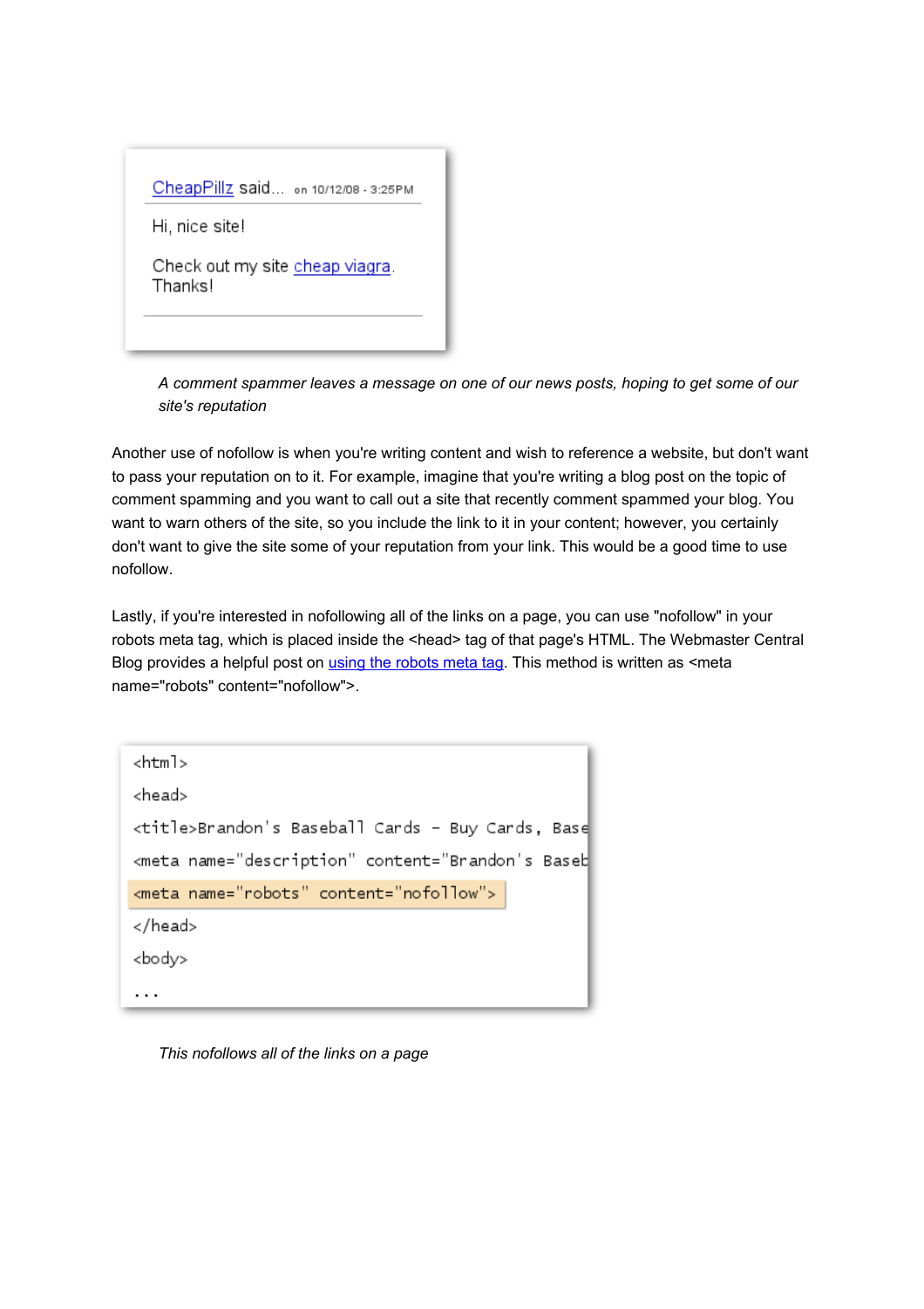CheapPillz said... on 10/12/08 - 3:25PM

Hi, nice site!

Check out my site cheap viagra. Thanks!

*A comment spammer leaves a message on one of our news posts, hoping to get some of our site's reputation*

Another use of nofollow is when you're writing content and wish to reference a website, but don't want to pass your reputation on to it. For example, imagine that you're writing a blog post on the topic of comment spamming and you want to call out a site that recently comment spammed your blog. You want to warn others of the site, so you include the link to it in your content; however, you certainly don't want to give the site some of your reputation from your link. This would be a good time to use nofollow.

Lastly, if you're interested in nofollowing all of the links on a page, you can use "nofollow" in your robots meta tag, which is placed inside the <head> tag of that page's HTML. The Webmaster Central Blog provides a helpful post on [using the robots meta tag](http://googlewebmastercentral.blogspot.com/2007/03/using-robots-meta-tag.html). This method is written as <meta name="robots" content="nofollow">.

| $<$ htm $l>$                                              |
|-----------------------------------------------------------|
| <head></head>                                             |
| <title>Brandon's Baseball Cards - Buy Cards, Base</title> |
| <meta content="nofollow" name="description" robots"=""/>  |
|                                                           |
| <body></body>                                             |
|                                                           |

*This nofollows all of the links on a page*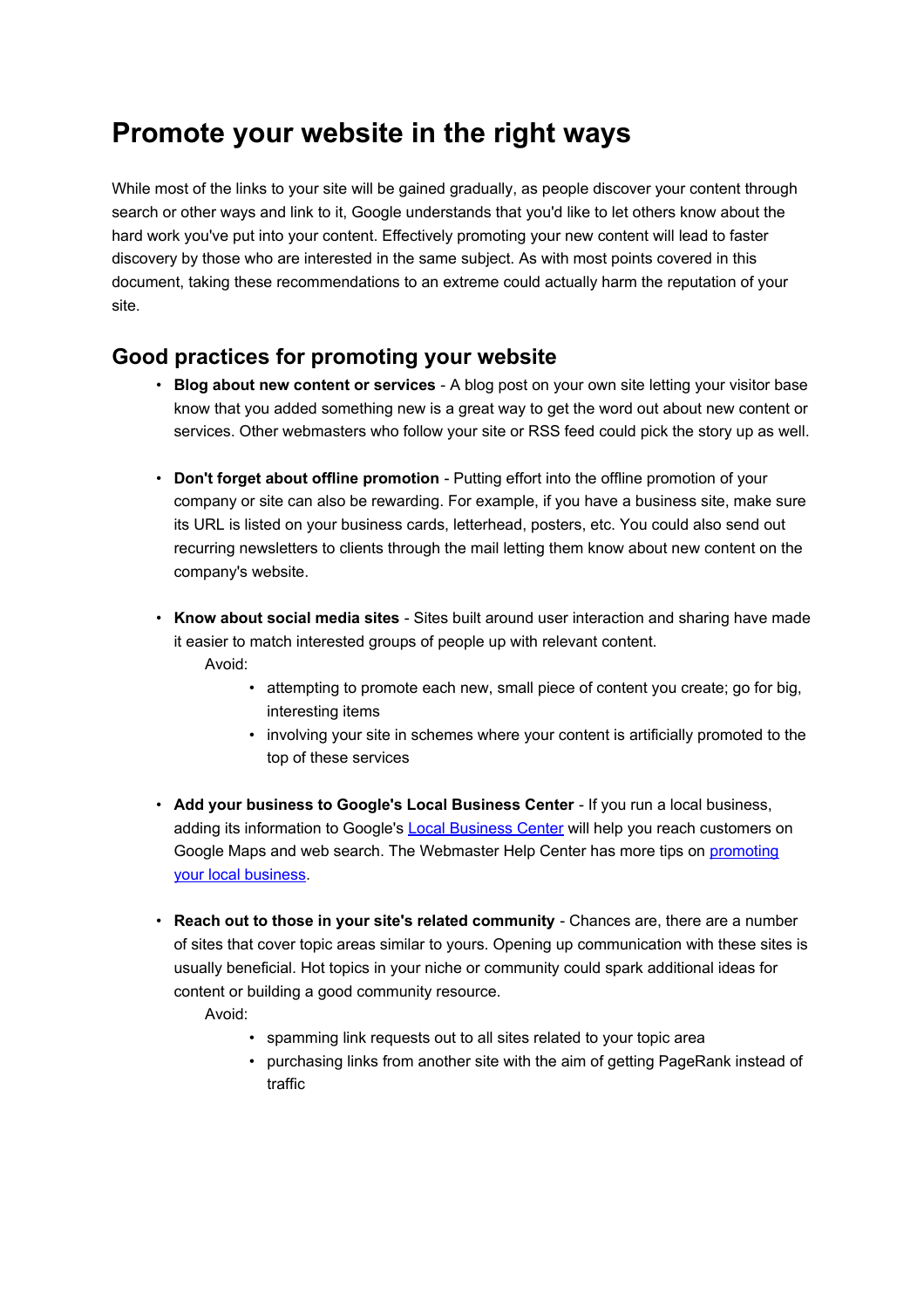### **Promote your website in the right ways**

While most of the links to your site will be gained gradually, as people discover your content through search or other ways and link to it, Google understands that you'd like to let others know about the hard work you've put into your content. Effectively promoting your new content will lead to faster discovery by those who are interested in the same subject. As with most points covered in this document, taking these recommendations to an extreme could actually harm the reputation of your site.

### **Good practices for promoting your website**

- **Blog about new content or services** A blog post on your own site letting your visitor base know that you added something new is a great way to get the word out about new content or services. Other webmasters who follow your site or RSS feed could pick the story up as well.
- **Don't forget about offline promotion** Putting effort into the offline promotion of your company or site can also be rewarding. For example, if you have a business site, make sure its URL is listed on your business cards, letterhead, posters, etc. You could also send out recurring newsletters to clients through the mail letting them know about new content on the company's website.
- **Know about social media sites** Sites built around user interaction and sharing have made it easier to match interested groups of people up with relevant content. Avoid:
	- attempting to promote each new, small piece of content you create; go for big, interesting items
	- involving your site in schemes where your content is artificially promoted to the top of these services
- **Add your business to Google's Local Business Center** If you run a local business, adding its information to Google's [Local Business Center](https://www.google.com/local/add) will help you reach customers on Google Maps and web search. The Webmaster Help Center has more tips on [promoting](http://www.google.com/support/webmasters/bin/answer.py?answer=92319) [your local business](http://www.google.com/support/webmasters/bin/answer.py?answer=92319).
- **Reach out to those in your site's related community** Chances are, there are a number of sites that cover topic areas similar to yours. Opening up communication with these sites is usually beneficial. Hot topics in your niche or community could spark additional ideas for content or building a good community resource.

Avoid:

- spamming link requests out to all sites related to your topic area
- purchasing links from another site with the aim of getting PageRank instead of traffic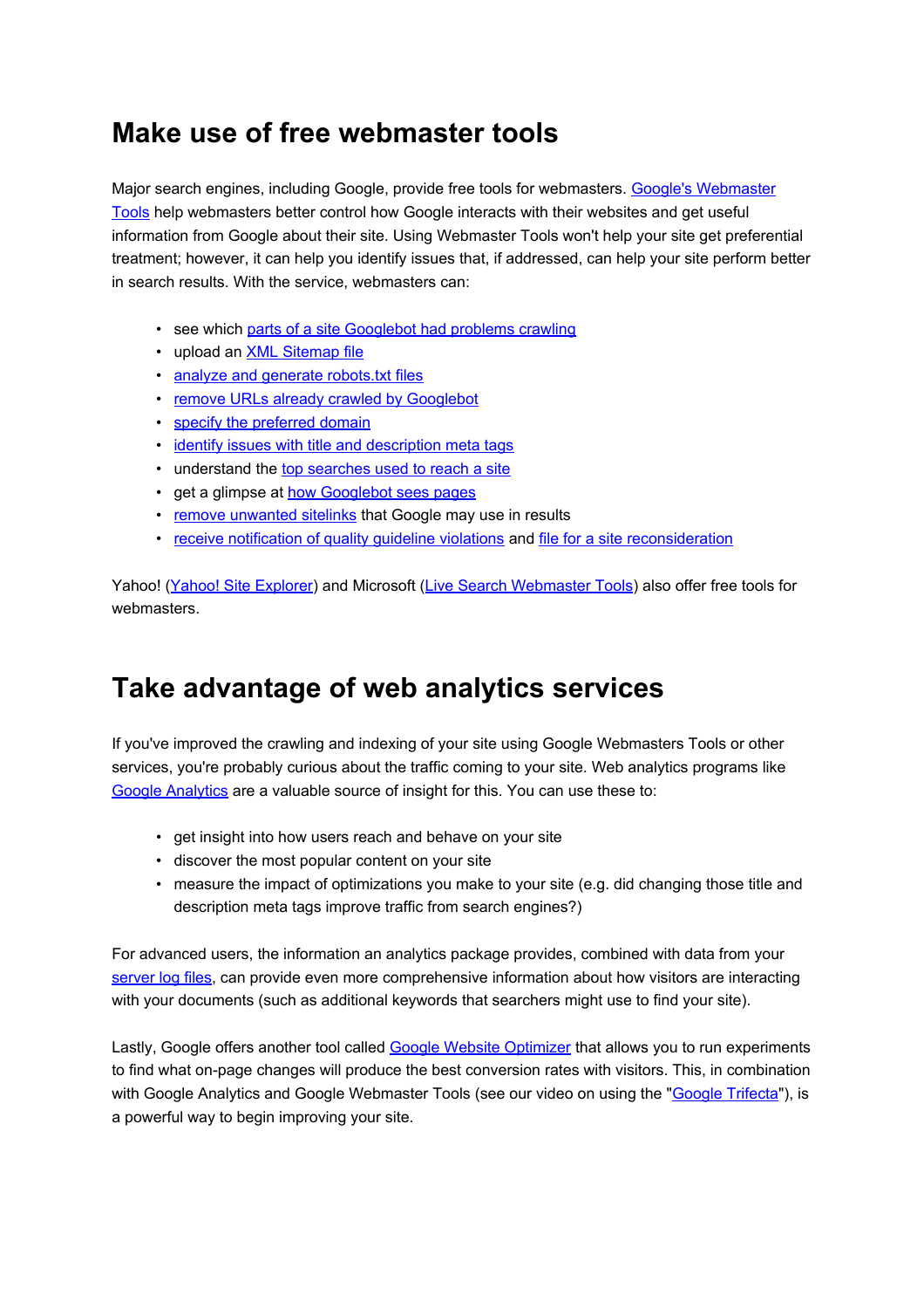### **Make use of free webmaster tools**

Major search engines, including Google, provide free tools for webmasters. [Google's Webmaster](http://www.google.com/webmasters/tools/) [Tools](http://www.google.com/webmasters/tools/) help webmasters better control how Google interacts with their websites and get useful information from Google about their site. Using Webmaster Tools won't help your site get preferential treatment; however, it can help you identify issues that, if addressed, can help your site perform better in search results. With the service, webmasters can:

- see which [parts of a site Googlebot had problems crawling](http://www.google.com/support/webmasters/bin/answer.py?answer=35120)
- upload an [XML Sitemap file](http://www.google.com/support/webmasters/bin/answer.py?answer=40318)
- [analyze and generate robots.txt files](http://www.google.com/support/webmasters/bin/answer.py?answer=35237)
- [remove URLs already crawled by Googlebot](http://www.google.com/support/webmasters/bin/answer.py?answer=61062)
- [specify the preferred domain](http://www.google.com/support/webmasters/bin/answer.py?answer=44231)
- [identify issues with title and description meta tags](http://googlewebmastercentral.blogspot.com/2007/12/new-content-analysis-and-sitemap.html)
- understand the [top searches used to reach a site](http://www.google.com/support/webmasters/bin/answer.py?answer=35252)
- get a glimpse at [how Googlebot sees pages](http://www.google.com/support/webmasters/bin/answer.py?answer=35255)
- [remove unwanted sitelinks](http://www.google.com/support/webmasters/bin/answer.py?answer=47334) that Google may use in results
- receive notification of quality quideline violations and [file for a site reconsideration](http://www.google.com/support/webmasters/bin/answer.py?answer=35843)

Yahoo! ([Yahoo! Site Explorer\)](https://siteexplorer.search.yahoo.com/) and Microsoft ([Live Search Webmaster Tools\)](http://webmaster.live.com/) also offer free tools for webmasters.

### **Take advantage of web analytics services**

If you've improved the crawling and indexing of your site using Google Webmasters Tools or other services, you're probably curious about the traffic coming to your site. Web analytics programs like [Google Analytics](http://www.google.com/analytics/) are a valuable source of insight for this. You can use these to:

- get insight into how users reach and behave on your site
- discover the most popular content on your site
- measure the impact of optimizations you make to your site (e.g. did changing those title and description meta tags improve traffic from search engines?)

For advanced users, the information an analytics package provides, combined with data from your [server log files](http://httpd.apache.org/docs/1.3/logs.html), can provide even more comprehensive information about how visitors are interacting with your documents (such as additional keywords that searchers might use to find your site).

Lastly, Google offers another tool called [Google Website Optimizer](http://www.google.com/websiteoptimizer) that allows you to run experiments to find what on-page changes will produce the best conversion rates with visitors. This, in combination with Google Analytics and Google Webmaster Tools (see our video on using the "[Google Trifecta](http://www.youtube.com/watch?v=9yKjrdcC8wA)"), is a powerful way to begin improving your site.